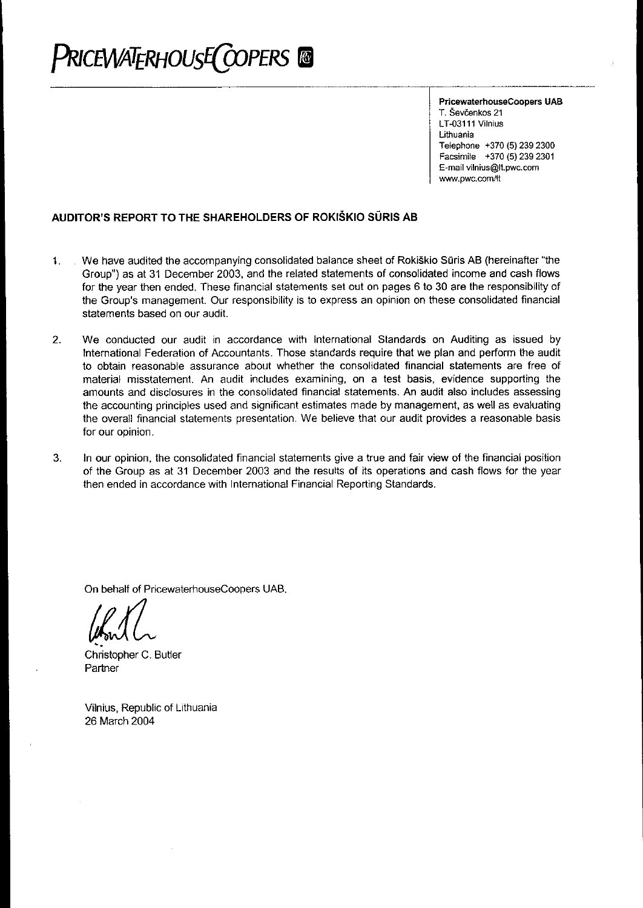# PRICEWATERHOUSE COPERS ®

PricewaterhouseCoopers UAB T. Ševčenkos 21 LT-03111 Vilnius Lithuania Telephone +370 (5) 239 2300 Facsimile +370 (5) 239 2301 E-mail vilnius@lt.pwc.com www.pwc.com/lt

# AUDITOR'S REPORT TO THE SHAREHOLDERS OF ROKIŠKIO SŪRIS AB

- . We have audited the accompanying consolidated balance sheet of Rokiškio Sūris AB (hereinafter "the  $\mathbf{1}$ . Group") as at 31 December 2003, and the related statements of consolidated income and cash flows for the year then ended. These financial statements set out on pages 6 to 30 are the responsibility of the Group's management. Our responsibility is to express an opinion on these consolidated financial statements based on our audit.
- $2.$ We conducted our audit in accordance with International Standards on Auditing as issued by International Federation of Accountants. Those standards require that we plan and perform the audit to obtain reasonable assurance about whether the consolidated financial statements are free of material misstatement. An audit includes examining, on a test basis, evidence supporting the amounts and disclosures in the consolidated financial statements. An audit also includes assessing the accounting principles used and significant estimates made by management, as well as evaluating the overall financial statements presentation. We believe that our audit provides a reasonable basis for our opinion.
- In our opinion, the consolidated financial statements give a true and fair view of the financial position  $3.$ of the Group as at 31 December 2003 and the results of its operations and cash flows for the year then ended in accordance with International Financial Reporting Standards.

On behalf of PricewaterhouseCoopers UAB.

Christopher C. Butler Partner

Vilnius, Republic of Lithuania 26 March 2004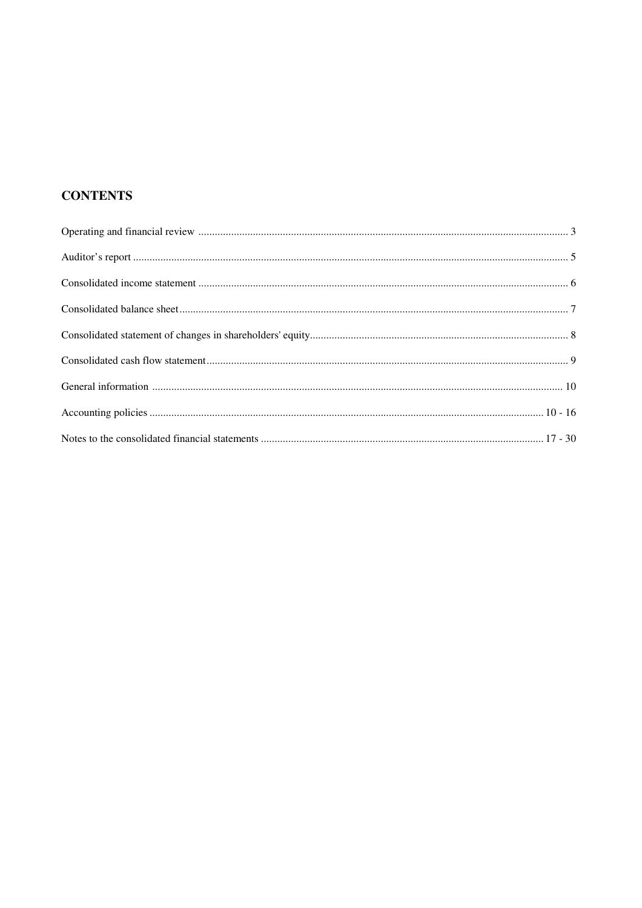# **CONTENTS**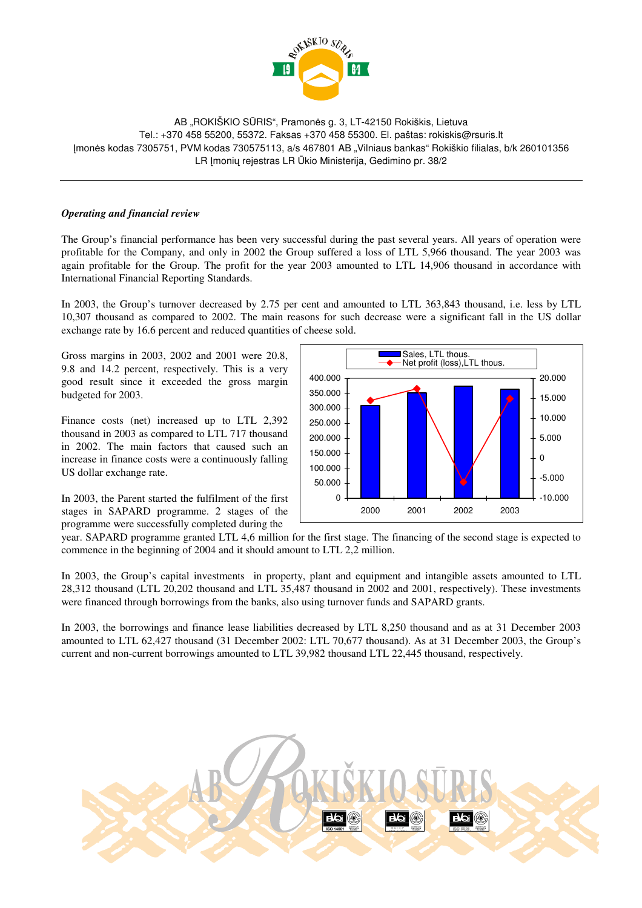

AB "ROKISKIO SŪRIS", Pramonės g. 3, LT-42150 Rokiškis, Lietuva Tel.: +370 458 55200, 55372. Faksas +370 458 55300. El. paštas: rokiskis@rsuris.lt mon-s kodas 7305751, PVM kodas 730575113, a/s 467801 AB "Vilniaus bankas" Rokiškio filialas, b/k 260101356 LR Imoniu rejestras LR Ūkio Ministerija, Gedimino pr. 38/2

#### *Operating and financial review*

The Group's financial performance has been very successful during the past several years. All years of operation were profitable for the Company, and only in 2002 the Group suffered a loss of LTL 5,966 thousand. The year 2003 was again profitable for the Group. The profit for the year 2003 amounted to LTL 14,906 thousand in accordance with International Financial Reporting Standards.

In 2003, the Group's turnover decreased by 2.75 per cent and amounted to LTL 363,843 thousand, i.e. less by LTL 10,307 thousand as compared to 2002. The main reasons for such decrease were a significant fall in the US dollar exchange rate by 16.6 percent and reduced quantities of cheese sold.

Gross margins in 2003, 2002 and 2001 were 20.8, 9.8 and 14.2 percent, respectively. This is a very good result since it exceeded the gross margin budgeted for 2003.

Finance costs (net) increased up to LTL 2,392 thousand in 2003 as compared to LTL 717 thousand in 2002. The main factors that caused such an increase in finance costs were a continuously falling US dollar exchange rate.

In 2003, the Parent started the fulfilment of the first stages in SAPARD programme. 2 stages of the programme were successfully completed during the



year. SAPARD programme granted LTL 4,6 million for the first stage. The financing of the second stage is expected to commence in the beginning of 2004 and it should amount to LTL 2,2 million.

In 2003, the Group's capital investments in property, plant and equipment and intangible assets amounted to LTL 28,312 thousand (LTL 20,202 thousand and LTL 35,487 thousand in 2002 and 2001, respectively). These investments were financed through borrowings from the banks, also using turnover funds and SAPARD grants.

In 2003, the borrowings and finance lease liabilities decreased by LTL 8,250 thousand and as at 31 December 2003 amounted to LTL 62,427 thousand (31 December 2002: LTL 70,677 thousand). As at 31 December 2003, the Group's current and non-current borrowings amounted to LTL 39,982 thousand LTL 22,445 thousand, respectively.

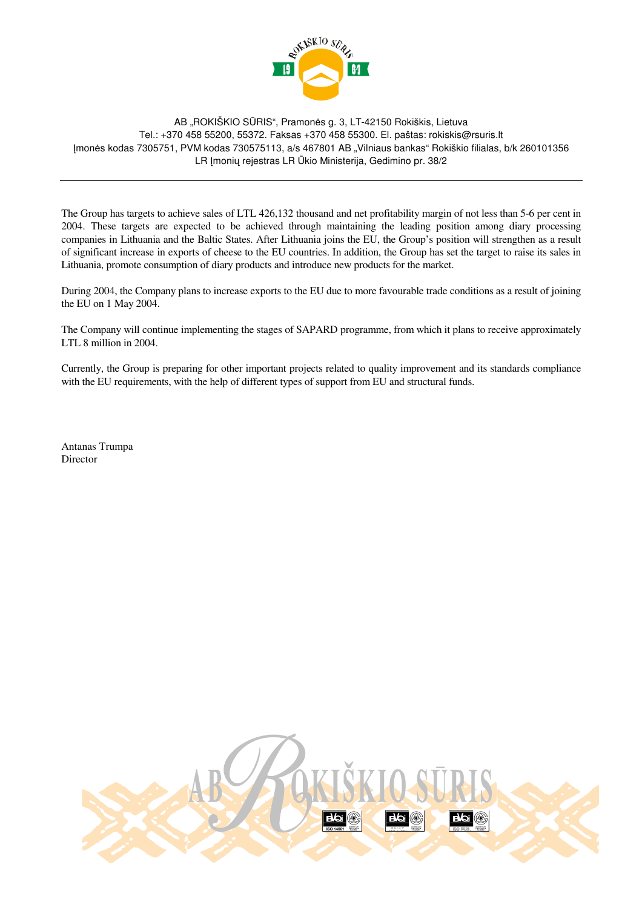

AB "ROKISKIO SŪRIS", Pramonės g. 3, LT-42150 Rokiškis, Lietuva Tel.: +370 458 55200, 55372. Faksas +370 458 55300. El. paštas: rokiskis@rsuris.lt mon-s kodas 7305751, PVM kodas 730575113, a/s 467801 AB "Vilniaus bankas" Rokiškio filialas, b/k 260101356 LR Imoniu rejestras LR Ūkio Ministerija, Gedimino pr. 38/2

The Group has targets to achieve sales of LTL 426,132 thousand and net profitability margin of not less than 5-6 per cent in 2004. These targets are expected to be achieved through maintaining the leading position among diary processing companies in Lithuania and the Baltic States. After Lithuania joins the EU, the Group's position will strengthen as a result of significant increase in exports of cheese to the EU countries. In addition, the Group has set the target to raise its sales in Lithuania, promote consumption of diary products and introduce new products for the market.

During 2004, the Company plans to increase exports to the EU due to more favourable trade conditions as a result of joining the EU on 1 May 2004.

The Company will continue implementing the stages of SAPARD programme, from which it plans to receive approximately LTL 8 million in 2004.

Currently, the Group is preparing for other important projects related to quality improvement and its standards compliance with the EU requirements, with the help of different types of support from EU and structural funds.

Antanas Trumpa Director

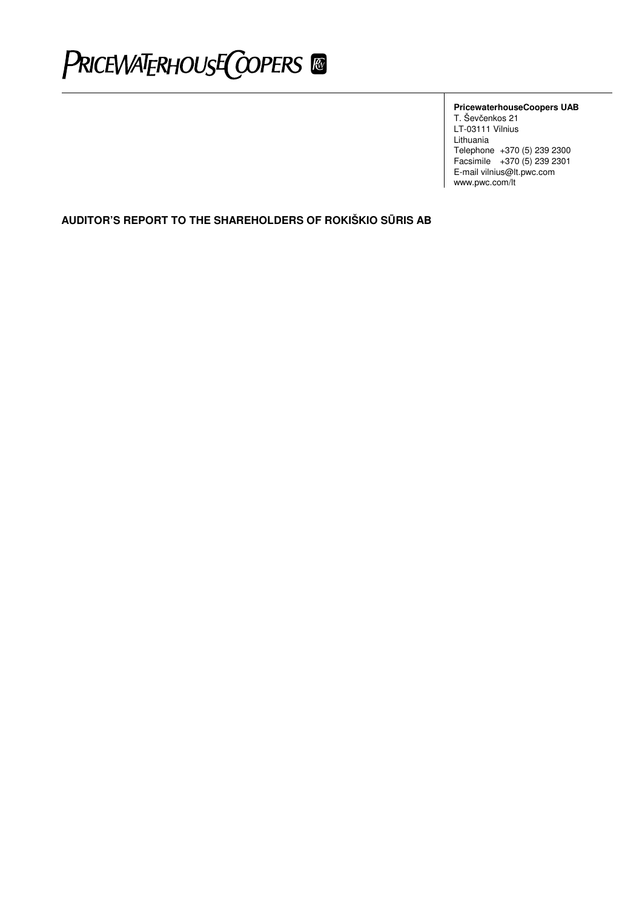# PRICEWATERHOUSE COPERS ®

#### **PricewaterhouseCoopers UAB**

T. Ševčenkos 21 LT-03111 Vilnius Lithuania Telephone +370 (5) 239 2300 Facsimile +370 (5) 239 2301 E-mail vilnius@lt.pwc.com www.pwc.com/lt

**AUDITOR'S REPORT TO THE SHAREHOLDERS OF ROKIŠKIO SRIS AB**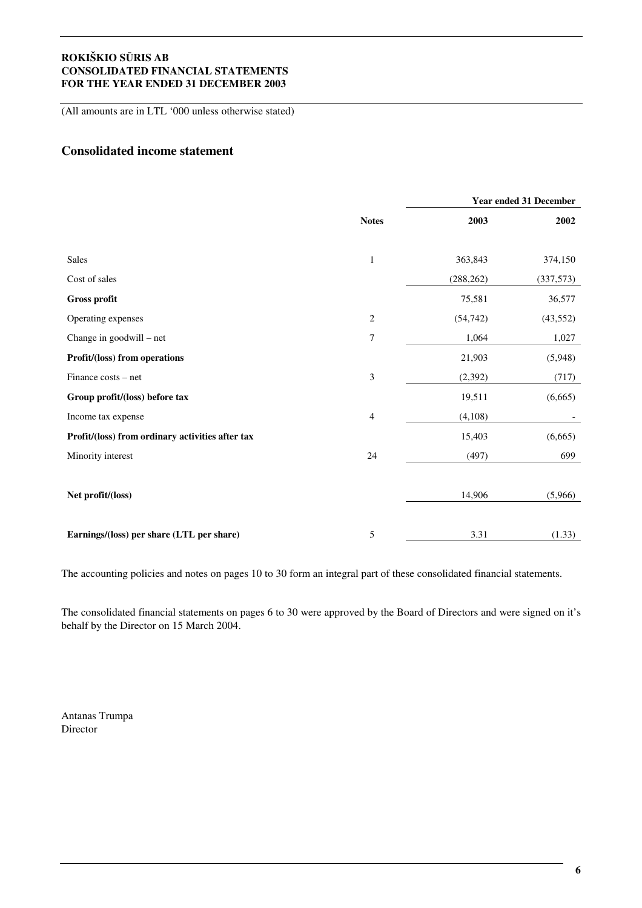(All amounts are in LTL '000 unless otherwise stated)

# **Consolidated income statement**

|                                                  |                |            | <b>Year ended 31 December</b> |
|--------------------------------------------------|----------------|------------|-------------------------------|
|                                                  | <b>Notes</b>   | 2003       | 2002                          |
|                                                  |                |            |                               |
| Sales                                            | $\,1$          | 363,843    | 374,150                       |
| Cost of sales                                    |                | (288, 262) | (337,573)                     |
| Gross profit                                     |                | 75,581     | 36,577                        |
| Operating expenses                               | $\overline{c}$ | (54, 742)  | (43, 552)                     |
| Change in goodwill – net                         | 7              | 1,064      | 1,027                         |
| Profit/(loss) from operations                    |                | 21,903     | (5,948)                       |
| Finance costs – net                              | $\mathfrak{Z}$ | (2, 392)   | (717)                         |
| Group profit/(loss) before tax                   |                | 19,511     | (6,665)                       |
| Income tax expense                               | 4              | (4,108)    |                               |
| Profit/(loss) from ordinary activities after tax |                | 15,403     | (6,665)                       |
| Minority interest                                | $24\,$         | (497)      | 699                           |
|                                                  |                |            |                               |
| Net profit/(loss)                                |                | 14,906     | (5,966)                       |
|                                                  |                |            |                               |
| Earnings/(loss) per share (LTL per share)        | 5              | 3.31       | (1.33)                        |

The accounting policies and notes on pages 10 to 30 form an integral part of these consolidated financial statements.

The consolidated financial statements on pages 6 to 30 were approved by the Board of Directors and were signed on it's behalf by the Director on 15 March 2004.

Antanas Trumpa Director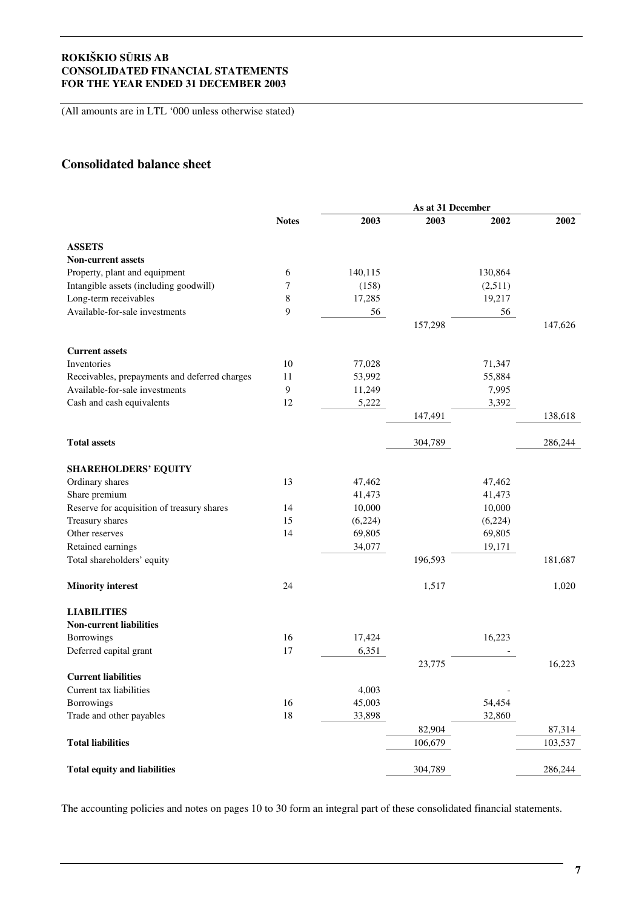(All amounts are in LTL '000 unless otherwise stated)

# **Consolidated balance sheet**

|                                               |              |         | As at 31 December |         |         |
|-----------------------------------------------|--------------|---------|-------------------|---------|---------|
|                                               | <b>Notes</b> | 2003    | 2003              | 2002    | 2002    |
| <b>ASSETS</b>                                 |              |         |                   |         |         |
| <b>Non-current assets</b>                     |              |         |                   |         |         |
| Property, plant and equipment                 | 6            | 140,115 |                   | 130,864 |         |
| Intangible assets (including goodwill)        | $\tau$       | (158)   |                   | (2,511) |         |
| Long-term receivables                         | $\,8$        | 17,285  |                   | 19,217  |         |
| Available-for-sale investments                | 9            | 56      |                   | 56      |         |
|                                               |              |         | 157,298           |         | 147,626 |
|                                               |              |         |                   |         |         |
| <b>Current assets</b>                         |              |         |                   |         |         |
| Inventories                                   | 10           | 77,028  |                   | 71,347  |         |
| Receivables, prepayments and deferred charges | 11           | 53,992  |                   | 55,884  |         |
| Available-for-sale investments                | 9            | 11,249  |                   | 7,995   |         |
| Cash and cash equivalents                     | 12           | 5,222   |                   | 3,392   |         |
|                                               |              |         | 147,491           |         | 138,618 |
| <b>Total assets</b>                           |              |         | 304,789           |         | 286,244 |
| <b>SHAREHOLDERS' EQUITY</b>                   |              |         |                   |         |         |
| Ordinary shares                               | 13           | 47,462  |                   | 47,462  |         |
| Share premium                                 |              | 41,473  |                   | 41,473  |         |
| Reserve for acquisition of treasury shares    | 14           | 10,000  |                   | 10,000  |         |
| Treasury shares                               | 15           | (6,224) |                   | (6,224) |         |
| Other reserves                                | 14           | 69,805  |                   | 69,805  |         |
| Retained earnings                             |              | 34,077  |                   | 19,171  |         |
| Total shareholders' equity                    |              |         | 196,593           |         | 181,687 |
|                                               |              |         |                   |         |         |
| <b>Minority interest</b>                      | 24           |         | 1,517             |         | 1,020   |
| <b>LIABILITIES</b>                            |              |         |                   |         |         |
| <b>Non-current liabilities</b>                |              |         |                   |         |         |
| <b>Borrowings</b>                             | 16           | 17,424  |                   | 16,223  |         |
| Deferred capital grant                        | 17           | 6,351   |                   |         |         |
|                                               |              |         | 23,775            |         | 16,223  |
| <b>Current liabilities</b>                    |              |         |                   |         |         |
| Current tax liabilities                       |              | 4,003   |                   |         |         |
| Borrowings                                    | 16           | 45,003  |                   | 54,454  |         |
| Trade and other payables                      | 18           | 33,898  |                   | 32,860  |         |
|                                               |              |         | 82,904            |         | 87,314  |
| <b>Total liabilities</b>                      |              |         | 106,679           |         | 103,537 |
| <b>Total equity and liabilities</b>           |              |         | 304,789           |         | 286,244 |
|                                               |              |         |                   |         |         |

The accounting policies and notes on pages 10 to 30 form an integral part of these consolidated financial statements.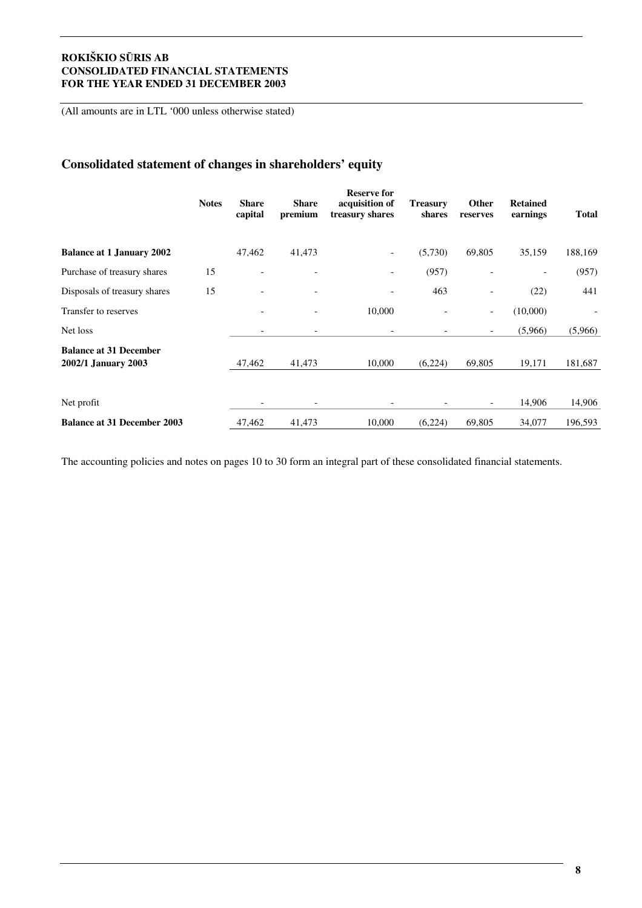(All amounts are in LTL '000 unless otherwise stated)

# **Consolidated statement of changes in shareholders' equity**

|                                                      | <b>Notes</b> | <b>Share</b><br>capital      | <b>Share</b><br>premium  | <b>Reserve for</b><br>acquisition of<br>treasury shares | <b>Treasury</b><br>shares | Other<br>reserves        | <b>Retained</b><br>earnings | <b>Total</b> |
|------------------------------------------------------|--------------|------------------------------|--------------------------|---------------------------------------------------------|---------------------------|--------------------------|-----------------------------|--------------|
| <b>Balance at 1 January 2002</b>                     |              | 47,462                       | 41,473                   | -                                                       | (5,730)                   | 69,805                   | 35,159                      | 188,169      |
| Purchase of treasury shares                          | 15           | $\qquad \qquad \blacksquare$ | $\overline{\phantom{a}}$ |                                                         | (957)                     |                          |                             | (957)        |
| Disposals of treasury shares                         | 15           | $\overline{\phantom{a}}$     | $\overline{\phantom{a}}$ | -                                                       | 463                       |                          | (22)                        | 441          |
| Transfer to reserves                                 |              |                              | $\overline{\phantom{a}}$ | 10,000                                                  |                           | $\overline{\phantom{a}}$ | (10,000)                    |              |
| Net loss                                             |              |                              | $\overline{\phantom{a}}$ |                                                         |                           | $\overline{\phantom{a}}$ | (5,966)                     | (5,966)      |
| <b>Balance at 31 December</b><br>2002/1 January 2003 |              | 47,462                       | 41,473                   | 10,000                                                  | (6,224)                   | 69,805                   | 19,171                      | 181,687      |
| Net profit                                           |              |                              | $\overline{\phantom{a}}$ |                                                         |                           | $\overline{\phantom{a}}$ | 14,906                      | 14,906       |
| <b>Balance at 31 December 2003</b>                   |              | 47,462                       | 41,473                   | 10,000                                                  | (6,224)                   | 69,805                   | 34,077                      | 196,593      |

The accounting policies and notes on pages 10 to 30 form an integral part of these consolidated financial statements.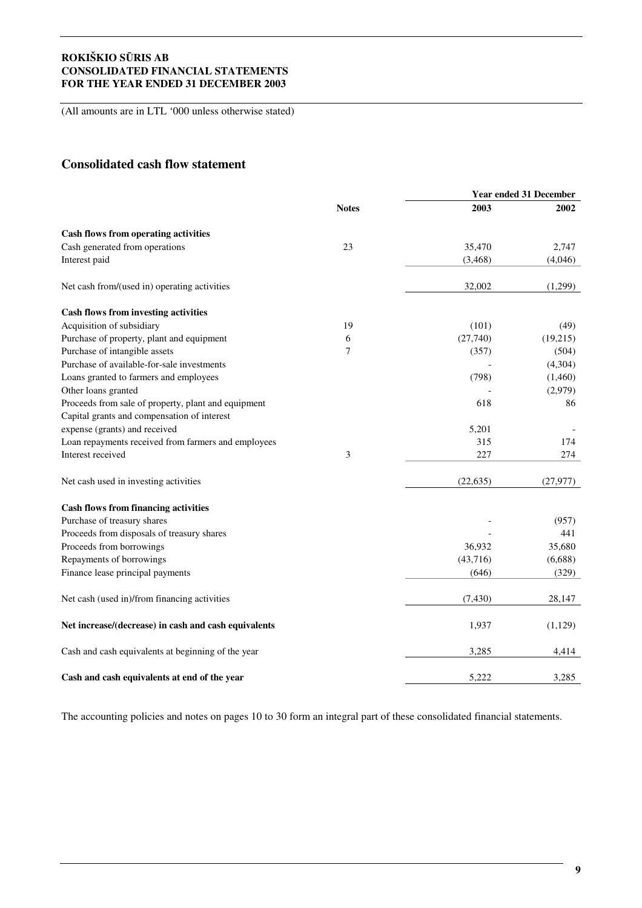(All amounts are in LTL '000 unless otherwise stated)

# **Consolidated cash flow statement**

|                                                      |              | <b>Year ended 31 December</b> |           |  |
|------------------------------------------------------|--------------|-------------------------------|-----------|--|
|                                                      | <b>Notes</b> | 2003                          | 2002      |  |
| <b>Cash flows from operating activities</b>          |              |                               |           |  |
| Cash generated from operations                       | 23           | 35,470                        | 2,747     |  |
| Interest paid                                        |              | (3, 468)                      | (4,046)   |  |
| Net cash from/(used in) operating activities         |              | 32,002                        | (1,299)   |  |
| <b>Cash flows from investing activities</b>          |              |                               |           |  |
| Acquisition of subsidiary                            | 19           | (101)                         | (49)      |  |
| Purchase of property, plant and equipment            | $\sqrt{6}$   | (27,740)                      | (19,215)  |  |
| Purchase of intangible assets                        | 7            | (357)                         | (504)     |  |
| Purchase of available-for-sale investments           |              |                               | (4,304)   |  |
| Loans granted to farmers and employees               |              | (798)                         | (1,460)   |  |
| Other loans granted                                  |              |                               | (2,979)   |  |
| Proceeds from sale of property, plant and equipment  |              | 618                           | 86        |  |
| Capital grants and compensation of interest          |              |                               |           |  |
| expense (grants) and received                        |              | 5,201                         |           |  |
| Loan repayments received from farmers and employees  |              | 315                           | 174       |  |
| Interest received                                    | 3            | 227                           | 274       |  |
| Net cash used in investing activities                |              | (22, 635)                     | (27, 977) |  |
| <b>Cash flows from financing activities</b>          |              |                               |           |  |
| Purchase of treasury shares                          |              |                               | (957)     |  |
| Proceeds from disposals of treasury shares           |              |                               | 441       |  |
| Proceeds from borrowings                             |              | 36,932                        | 35,680    |  |
| Repayments of borrowings                             |              | (43,716)                      | (6,688)   |  |
| Finance lease principal payments                     |              | (646)                         | (329)     |  |
| Net cash (used in)/from financing activities         |              | (7, 430)                      | 28,147    |  |
| Net increase/(decrease) in cash and cash equivalents |              | 1,937                         | (1,129)   |  |
| Cash and cash equivalents at beginning of the year   |              | 3,285                         | 4,414     |  |
| Cash and cash equivalents at end of the year         |              | 5,222                         | 3,285     |  |

The accounting policies and notes on pages 10 to 30 form an integral part of these consolidated financial statements.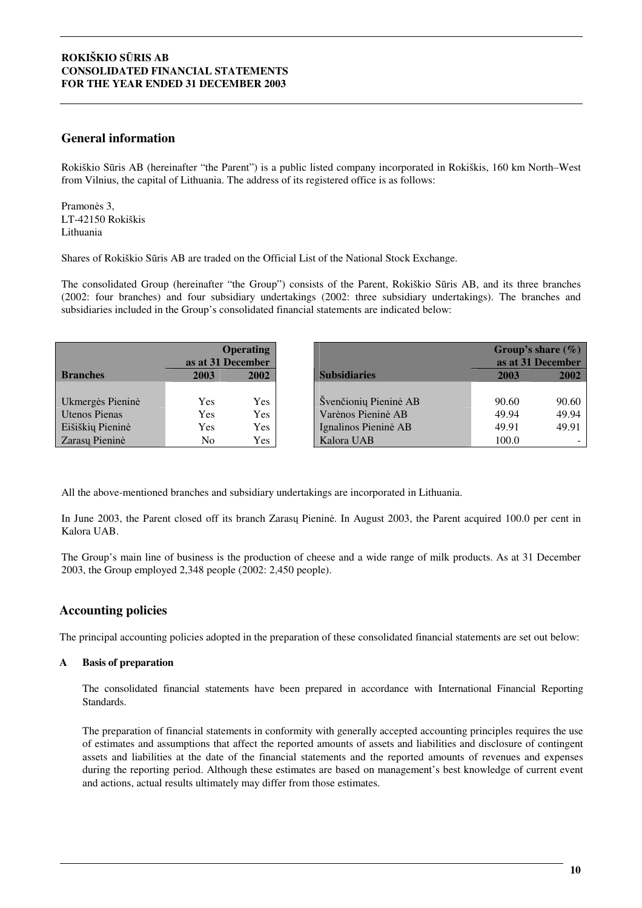## **General information**

Rokiškio Sūris AB (hereinafter "the Parent") is a public listed company incorporated in Rokiškis, 160 km North–West from Vilnius, the capital of Lithuania. The address of its registered office is as follows:

Pramonės 3, LT-42150 Rokiškis Lithuania

Shares of Rokiškio Sris AB are traded on the Official List of the National Stock Exchange.

The consolidated Group (hereinafter "the Group") consists of the Parent, Rokiškio Sūris AB, and its three branches (2002: four branches) and four subsidiary undertakings (2002: three subsidiary undertakings). The branches and subsidiaries included in the Group's consolidated financial statements are indicated below:

|                      | <b>Operating</b><br>as at 31 December |      |                       |       |       | Group's share $(\% )$ | as at 31 December |
|----------------------|---------------------------------------|------|-----------------------|-------|-------|-----------------------|-------------------|
| <b>Branches</b>      | 2003                                  | 2002 | <b>Subsidiaries</b>   | 2003  | 2002  |                       |                   |
|                      |                                       |      |                       |       |       |                       |                   |
| Ukmergės Pieninė     | Yes                                   | Yes  | Švenčionių Pieninė AB | 90.60 | 90.60 |                       |                   |
| <b>Utenos Pienas</b> | Yes                                   | Yes  | Varėnos Pieninė AB    | 49.94 | 49.94 |                       |                   |
| Eišiškių Pieninė     | Yes                                   | Yes  | Ignalinos Pieninė AB  | 49.91 | 49.91 |                       |                   |
| Zarasų Pieninė       | No                                    | Yes  | Kalora UAB            | 100.0 |       |                       |                   |

All the above-mentioned branches and subsidiary undertakings are incorporated in Lithuania.

In June 2003, the Parent closed off its branch Zarasu Pieninė. In August 2003, the Parent acquired 100.0 per cent in Kalora UAB.

The Group's main line of business is the production of cheese and a wide range of milk products. As at 31 December 2003, the Group employed 2,348 people (2002: 2,450 people).

# **Accounting policies**

The principal accounting policies adopted in the preparation of these consolidated financial statements are set out below:

#### **A Basis of preparation**

The consolidated financial statements have been prepared in accordance with International Financial Reporting Standards.

The preparation of financial statements in conformity with generally accepted accounting principles requires the use of estimates and assumptions that affect the reported amounts of assets and liabilities and disclosure of contingent assets and liabilities at the date of the financial statements and the reported amounts of revenues and expenses during the reporting period. Although these estimates are based on management's best knowledge of current event and actions, actual results ultimately may differ from those estimates.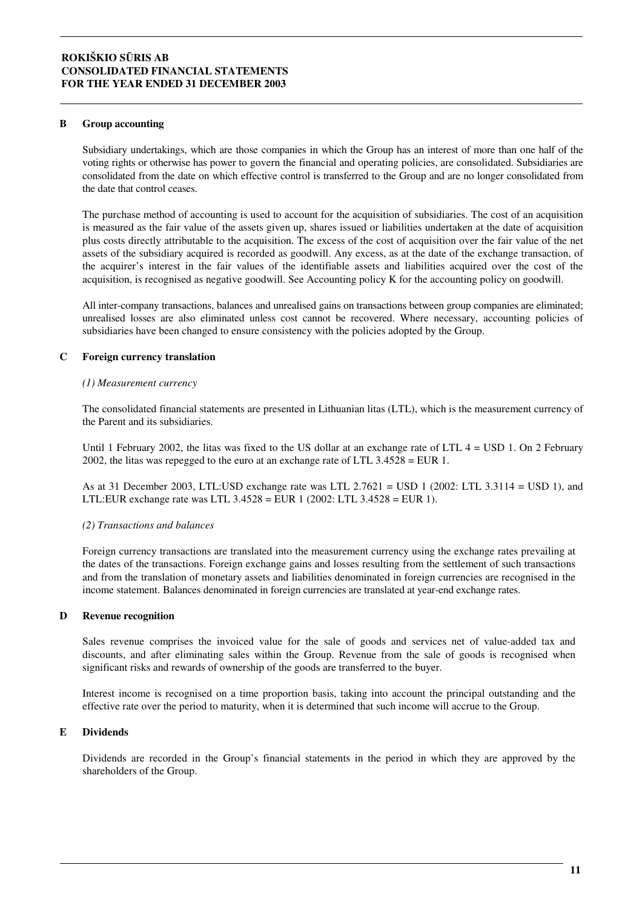#### **B Group accounting**

Subsidiary undertakings, which are those companies in which the Group has an interest of more than one half of the voting rights or otherwise has power to govern the financial and operating policies, are consolidated. Subsidiaries are consolidated from the date on which effective control is transferred to the Group and are no longer consolidated from the date that control ceases.

The purchase method of accounting is used to account for the acquisition of subsidiaries. The cost of an acquisition is measured as the fair value of the assets given up, shares issued or liabilities undertaken at the date of acquisition plus costs directly attributable to the acquisition. The excess of the cost of acquisition over the fair value of the net assets of the subsidiary acquired is recorded as goodwill. Any excess, as at the date of the exchange transaction, of the acquirer's interest in the fair values of the identifiable assets and liabilities acquired over the cost of the acquisition, is recognised as negative goodwill. See Accounting policy K for the accounting policy on goodwill.

All inter-company transactions, balances and unrealised gains on transactions between group companies are eliminated; unrealised losses are also eliminated unless cost cannot be recovered. Where necessary, accounting policies of subsidiaries have been changed to ensure consistency with the policies adopted by the Group.

#### **C Foreign currency translation**

#### *(1) Measurement currency*

The consolidated financial statements are presented in Lithuanian litas (LTL), which is the measurement currency of the Parent and its subsidiaries.

Until 1 February 2002, the litas was fixed to the US dollar at an exchange rate of LTL  $4 =$  USD 1. On 2 February 2002, the litas was repegged to the euro at an exchange rate of LTL 3.4528 = EUR 1.

As at 31 December 2003, LTL:USD exchange rate was LTL 2.7621 = USD 1 (2002: LTL 3.3114 = USD 1), and LTL:EUR exchange rate was LTL 3.4528 = EUR 1 (2002: LTL 3.4528 = EUR 1).

#### *(2) Transactions and balances*

Foreign currency transactions are translated into the measurement currency using the exchange rates prevailing at the dates of the transactions. Foreign exchange gains and losses resulting from the settlement of such transactions and from the translation of monetary assets and liabilities denominated in foreign currencies are recognised in the income statement. Balances denominated in foreign currencies are translated at year-end exchange rates.

#### **D Revenue recognition**

Sales revenue comprises the invoiced value for the sale of goods and services net of value-added tax and discounts, and after eliminating sales within the Group. Revenue from the sale of goods is recognised when significant risks and rewards of ownership of the goods are transferred to the buyer.

Interest income is recognised on a time proportion basis, taking into account the principal outstanding and the effective rate over the period to maturity, when it is determined that such income will accrue to the Group.

#### **E Dividends**

Dividends are recorded in the Group's financial statements in the period in which they are approved by the shareholders of the Group.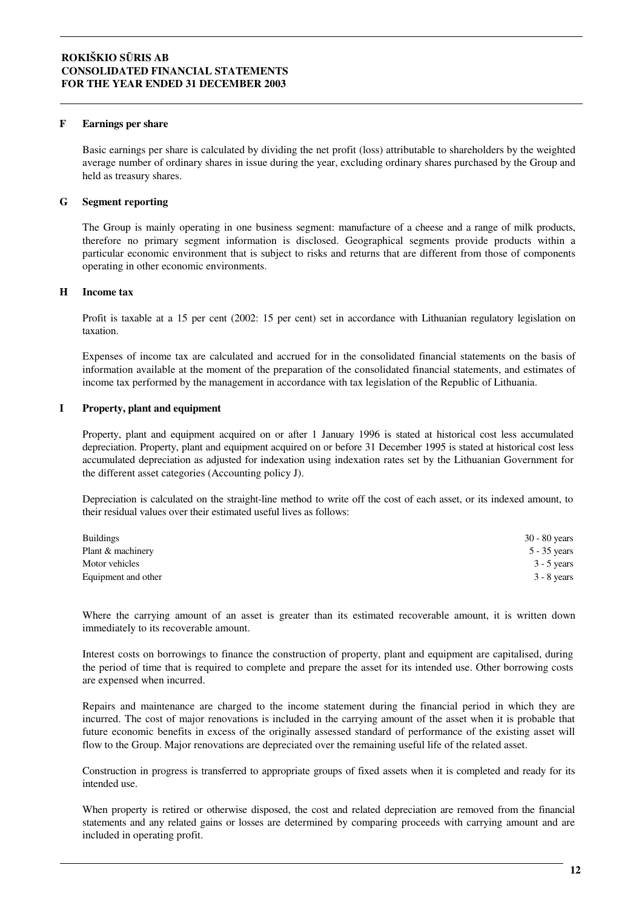#### **F Earnings per share**

Basic earnings per share is calculated by dividing the net profit (loss) attributable to shareholders by the weighted average number of ordinary shares in issue during the year, excluding ordinary shares purchased by the Group and held as treasury shares.

#### **G Segment reporting**

The Group is mainly operating in one business segment: manufacture of a cheese and a range of milk products, therefore no primary segment information is disclosed. Geographical segments provide products within a particular economic environment that is subject to risks and returns that are different from those of components operating in other economic environments.

#### **H Income tax**

Profit is taxable at a 15 per cent (2002: 15 per cent) set in accordance with Lithuanian regulatory legislation on taxation.

Expenses of income tax are calculated and accrued for in the consolidated financial statements on the basis of information available at the moment of the preparation of the consolidated financial statements, and estimates of income tax performed by the management in accordance with tax legislation of the Republic of Lithuania.

#### **I Property, plant and equipment**

Property, plant and equipment acquired on or after 1 January 1996 is stated at historical cost less accumulated depreciation. Property, plant and equipment acquired on or before 31 December 1995 is stated at historical cost less accumulated depreciation as adjusted for indexation using indexation rates set by the Lithuanian Government for the different asset categories (Accounting policy J).

Depreciation is calculated on the straight-line method to write off the cost of each asset, or its indexed amount, to their residual values over their estimated useful lives as follows:

| <b>Buildings</b>    | $30 - 80$ years |
|---------------------|-----------------|
| Plant & machinery   | 5 - 35 years    |
| Motor vehicles      | $3 - 5$ years   |
| Equipment and other | $3 - 8$ years   |

Where the carrying amount of an asset is greater than its estimated recoverable amount, it is written down immediately to its recoverable amount.

Interest costs on borrowings to finance the construction of property, plant and equipment are capitalised, during the period of time that is required to complete and prepare the asset for its intended use. Other borrowing costs are expensed when incurred.

Repairs and maintenance are charged to the income statement during the financial period in which they are incurred. The cost of major renovations is included in the carrying amount of the asset when it is probable that future economic benefits in excess of the originally assessed standard of performance of the existing asset will flow to the Group. Major renovations are depreciated over the remaining useful life of the related asset.

Construction in progress is transferred to appropriate groups of fixed assets when it is completed and ready for its intended use.

When property is retired or otherwise disposed, the cost and related depreciation are removed from the financial statements and any related gains or losses are determined by comparing proceeds with carrying amount and are included in operating profit.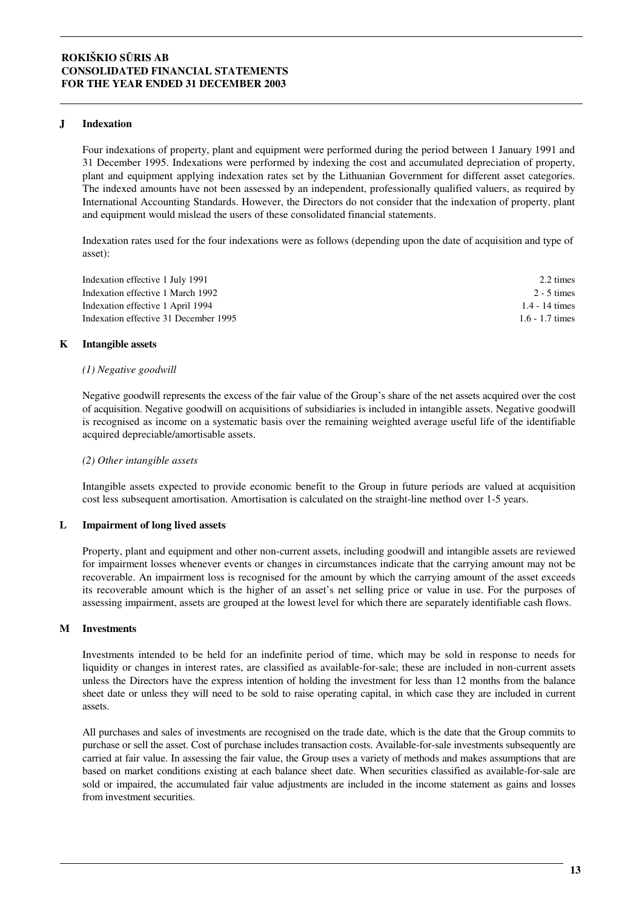#### **J Indexation**

Four indexations of property, plant and equipment were performed during the period between 1 January 1991 and 31 December 1995. Indexations were performed by indexing the cost and accumulated depreciation of property, plant and equipment applying indexation rates set by the Lithuanian Government for different asset categories. The indexed amounts have not been assessed by an independent, professionally qualified valuers, as required by International Accounting Standards. However, the Directors do not consider that the indexation of property, plant and equipment would mislead the users of these consolidated financial statements.

Indexation rates used for the four indexations were as follows (depending upon the date of acquisition and type of asset):

| Indexation effective 1 July 1991      | 2.2 times         |
|---------------------------------------|-------------------|
| Indexation effective 1 March 1992     | 2 - 5 times       |
| Indexation effective 1 April 1994     | 1.4 - 14 times    |
| Indexation effective 31 December 1995 | $1.6 - 1.7$ times |

#### **K Intangible assets**

#### *(1) Negative goodwill*

Negative goodwill represents the excess of the fair value of the Group's share of the net assets acquired over the cost of acquisition. Negative goodwill on acquisitions of subsidiaries is included in intangible assets. Negative goodwill is recognised as income on a systematic basis over the remaining weighted average useful life of the identifiable acquired depreciable/amortisable assets.

#### *(2) Other intangible assets*

Intangible assets expected to provide economic benefit to the Group in future periods are valued at acquisition cost less subsequent amortisation. Amortisation is calculated on the straight-line method over 1-5 years.

#### **L Impairment of long lived assets**

Property, plant and equipment and other non-current assets, including goodwill and intangible assets are reviewed for impairment losses whenever events or changes in circumstances indicate that the carrying amount may not be recoverable. An impairment loss is recognised for the amount by which the carrying amount of the asset exceeds its recoverable amount which is the higher of an asset's net selling price or value in use. For the purposes of assessing impairment, assets are grouped at the lowest level for which there are separately identifiable cash flows.

#### **M Investments**

Investments intended to be held for an indefinite period of time, which may be sold in response to needs for liquidity or changes in interest rates, are classified as available-for-sale; these are included in non-current assets unless the Directors have the express intention of holding the investment for less than 12 months from the balance sheet date or unless they will need to be sold to raise operating capital, in which case they are included in current assets.

All purchases and sales of investments are recognised on the trade date, which is the date that the Group commits to purchase or sell the asset. Cost of purchase includes transaction costs. Available-for-sale investments subsequently are carried at fair value. In assessing the fair value, the Group uses a variety of methods and makes assumptions that are based on market conditions existing at each balance sheet date. When securities classified as available-for-sale are sold or impaired, the accumulated fair value adjustments are included in the income statement as gains and losses from investment securities.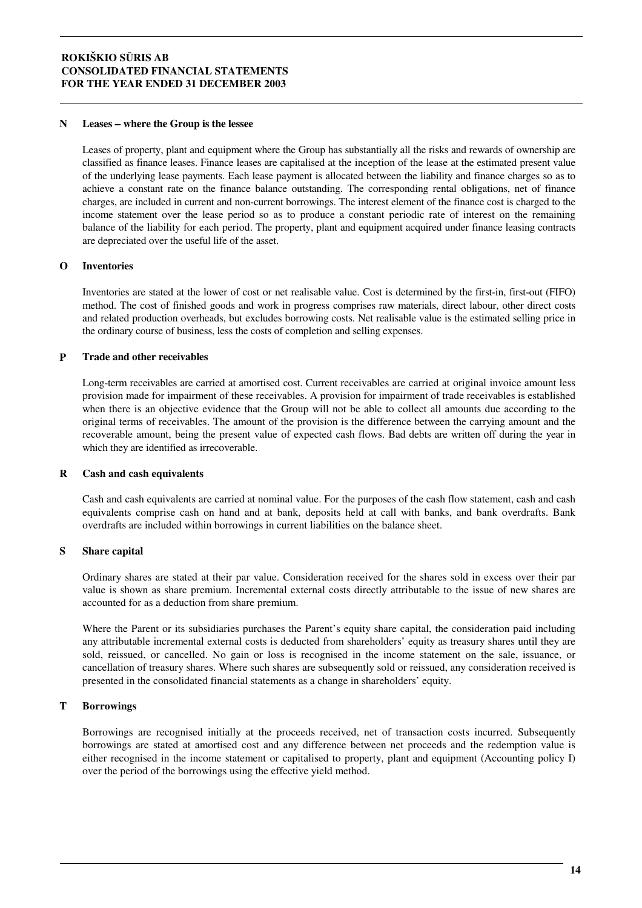#### **N Leases where the Group is the lessee**

Leases of property, plant and equipment where the Group has substantially all the risks and rewards of ownership are classified as finance leases. Finance leases are capitalised at the inception of the lease at the estimated present value of the underlying lease payments. Each lease payment is allocated between the liability and finance charges so as to achieve a constant rate on the finance balance outstanding. The corresponding rental obligations, net of finance charges, are included in current and non-current borrowings. The interest element of the finance cost is charged to the income statement over the lease period so as to produce a constant periodic rate of interest on the remaining balance of the liability for each period. The property, plant and equipment acquired under finance leasing contracts are depreciated over the useful life of the asset.

#### **O Inventories**

Inventories are stated at the lower of cost or net realisable value. Cost is determined by the first-in, first-out (FIFO) method. The cost of finished goods and work in progress comprises raw materials, direct labour, other direct costs and related production overheads, but excludes borrowing costs. Net realisable value is the estimated selling price in the ordinary course of business, less the costs of completion and selling expenses.

#### **P Trade and other receivables**

Long-term receivables are carried at amortised cost. Current receivables are carried at original invoice amount less provision made for impairment of these receivables. A provision for impairment of trade receivables is established when there is an objective evidence that the Group will not be able to collect all amounts due according to the original terms of receivables. The amount of the provision is the difference between the carrying amount and the recoverable amount, being the present value of expected cash flows. Bad debts are written off during the year in which they are identified as irrecoverable.

#### **R Cash and cash equivalents**

Cash and cash equivalents are carried at nominal value. For the purposes of the cash flow statement, cash and cash equivalents comprise cash on hand and at bank, deposits held at call with banks, and bank overdrafts. Bank overdrafts are included within borrowings in current liabilities on the balance sheet.

#### **S Share capital**

Ordinary shares are stated at their par value. Consideration received for the shares sold in excess over their par value is shown as share premium. Incremental external costs directly attributable to the issue of new shares are accounted for as a deduction from share premium.

Where the Parent or its subsidiaries purchases the Parent's equity share capital, the consideration paid including any attributable incremental external costs is deducted from shareholders' equity as treasury shares until they are sold, reissued, or cancelled. No gain or loss is recognised in the income statement on the sale, issuance, or cancellation of treasury shares. Where such shares are subsequently sold or reissued, any consideration received is presented in the consolidated financial statements as a change in shareholders' equity.

#### **T Borrowings**

Borrowings are recognised initially at the proceeds received, net of transaction costs incurred. Subsequently borrowings are stated at amortised cost and any difference between net proceeds and the redemption value is either recognised in the income statement or capitalised to property, plant and equipment (Accounting policy I) over the period of the borrowings using the effective yield method.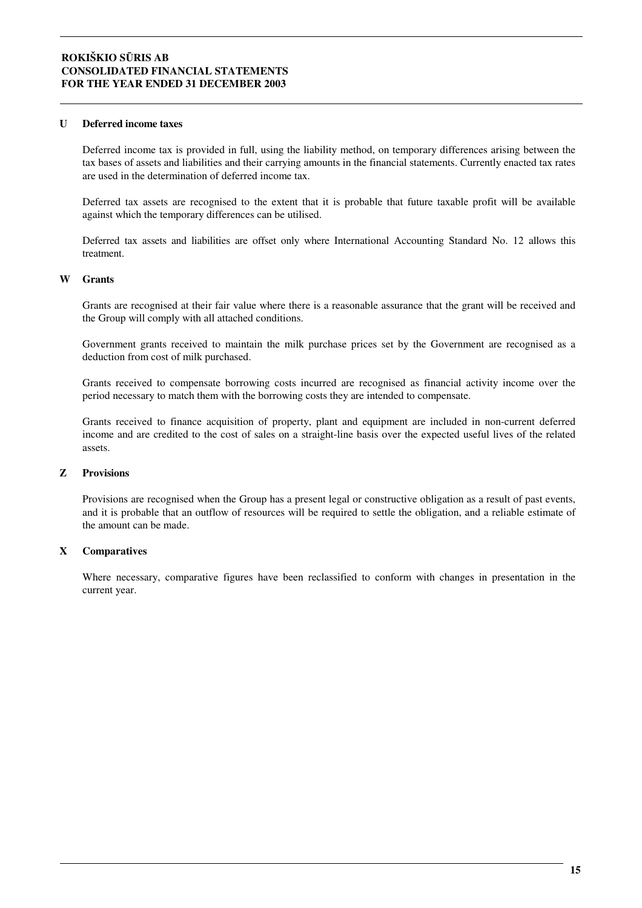#### **U Deferred income taxes**

Deferred income tax is provided in full, using the liability method, on temporary differences arising between the tax bases of assets and liabilities and their carrying amounts in the financial statements. Currently enacted tax rates are used in the determination of deferred income tax.

Deferred tax assets are recognised to the extent that it is probable that future taxable profit will be available against which the temporary differences can be utilised.

Deferred tax assets and liabilities are offset only where International Accounting Standard No. 12 allows this treatment.

#### **W Grants**

Grants are recognised at their fair value where there is a reasonable assurance that the grant will be received and the Group will comply with all attached conditions.

Government grants received to maintain the milk purchase prices set by the Government are recognised as a deduction from cost of milk purchased.

Grants received to compensate borrowing costs incurred are recognised as financial activity income over the period necessary to match them with the borrowing costs they are intended to compensate.

Grants received to finance acquisition of property, plant and equipment are included in non-current deferred income and are credited to the cost of sales on a straight-line basis over the expected useful lives of the related assets.

#### **Z Provisions**

Provisions are recognised when the Group has a present legal or constructive obligation as a result of past events, and it is probable that an outflow of resources will be required to settle the obligation, and a reliable estimate of the amount can be made.

#### **X Comparatives**

Where necessary, comparative figures have been reclassified to conform with changes in presentation in the current year.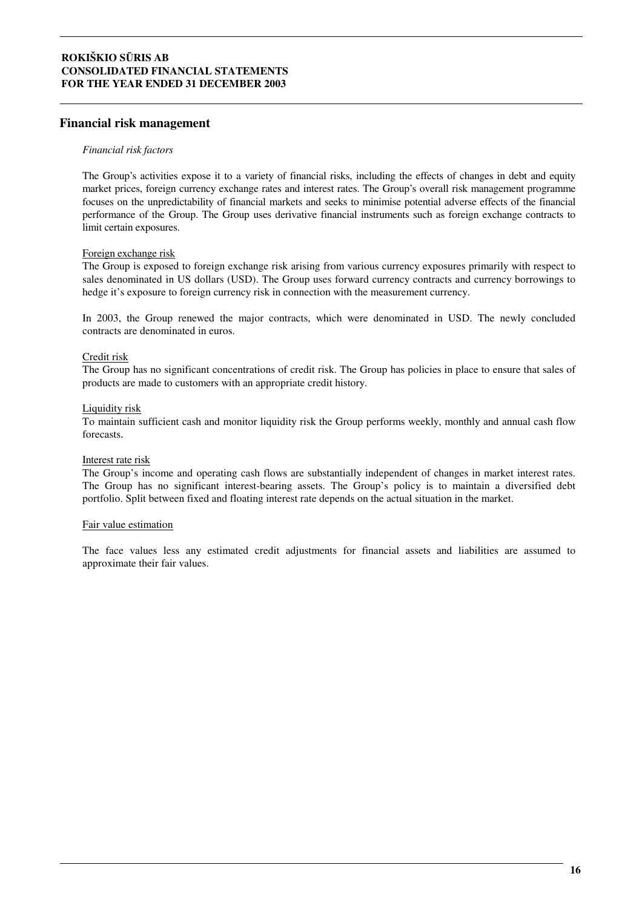#### **Financial risk management**

#### *Financial risk factors*

The Group's activities expose it to a variety of financial risks, including the effects of changes in debt and equity market prices, foreign currency exchange rates and interest rates. The Group's overall risk management programme focuses on the unpredictability of financial markets and seeks to minimise potential adverse effects of the financial performance of the Group. The Group uses derivative financial instruments such as foreign exchange contracts to limit certain exposures.

#### Foreign exchange risk

The Group is exposed to foreign exchange risk arising from various currency exposures primarily with respect to sales denominated in US dollars (USD). The Group uses forward currency contracts and currency borrowings to hedge it's exposure to foreign currency risk in connection with the measurement currency.

In 2003, the Group renewed the major contracts, which were denominated in USD. The newly concluded contracts are denominated in euros.

#### Credit risk

The Group has no significant concentrations of credit risk. The Group has policies in place to ensure that sales of products are made to customers with an appropriate credit history.

#### Liquidity risk

To maintain sufficient cash and monitor liquidity risk the Group performs weekly, monthly and annual cash flow forecasts.

#### Interest rate risk

The Group's income and operating cash flows are substantially independent of changes in market interest rates. The Group has no significant interest-bearing assets. The Group's policy is to maintain a diversified debt portfolio. Split between fixed and floating interest rate depends on the actual situation in the market.

#### Fair value estimation

The face values less any estimated credit adjustments for financial assets and liabilities are assumed to approximate their fair values.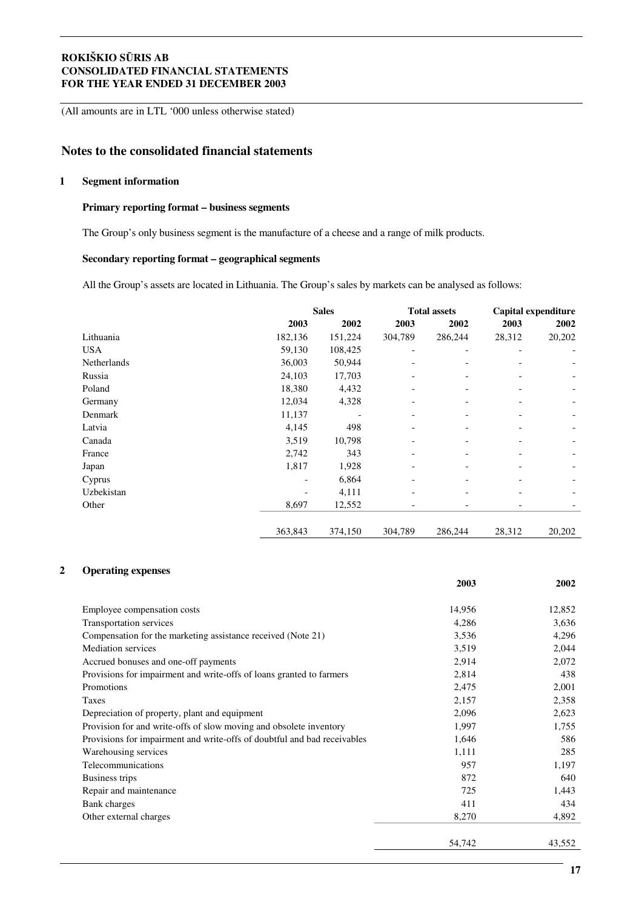(All amounts are in LTL '000 unless otherwise stated)

# **Notes to the consolidated financial statements**

#### **1 Segment information**

#### **Primary reporting format – business segments**

The Group's only business segment is the manufacture of a cheese and a range of milk products.

#### **Secondary reporting format – geographical segments**

All the Group's assets are located in Lithuania. The Group's sales by markets can be analysed as follows:

|             |         | <b>Sales</b> |         | <b>Total assets</b> |        | Capital expenditure |  |
|-------------|---------|--------------|---------|---------------------|--------|---------------------|--|
|             | 2003    | 2002         | 2003    | 2002                | 2003   | 2002                |  |
| Lithuania   | 182,136 | 151,224      | 304,789 | 286,244             | 28,312 | 20,202              |  |
| USA         | 59,130  | 108,425      |         |                     |        |                     |  |
| Netherlands | 36,003  | 50,944       |         |                     |        |                     |  |
| Russia      | 24,103  | 17,703       |         |                     |        |                     |  |
| Poland      | 18,380  | 4,432        |         |                     |        |                     |  |
| Germany     | 12,034  | 4,328        |         |                     |        |                     |  |
| Denmark     | 11,137  |              |         |                     |        |                     |  |
| Latvia      | 4,145   | 498          |         |                     |        |                     |  |
| Canada      | 3,519   | 10,798       |         |                     |        |                     |  |
| France      | 2,742   | 343          |         |                     |        |                     |  |
| Japan       | 1,817   | 1,928        |         |                     |        |                     |  |
| Cyprus      |         | 6,864        |         |                     |        |                     |  |
| Uzbekistan  |         | 4,111        |         |                     |        |                     |  |
| Other       | 8,697   | 12,552       |         |                     |        |                     |  |
|             | 363,843 | 374,150      | 304,789 | 286,244             | 28,312 | 20,202              |  |

#### **2 Operating expenses**

|                                                                          | 2003   | 2002   |
|--------------------------------------------------------------------------|--------|--------|
| Employee compensation costs                                              | 14,956 | 12,852 |
| Transportation services                                                  | 4,286  | 3,636  |
| Compensation for the marketing assistance received (Note 21)             | 3,536  | 4,296  |
| <b>Mediation</b> services                                                | 3,519  | 2,044  |
| Accrued bonuses and one-off payments                                     | 2,914  | 2,072  |
| Provisions for impairment and write-offs of loans granted to farmers     | 2,814  | 438    |
| Promotions                                                               | 2,475  | 2,001  |
| Taxes                                                                    | 2,157  | 2,358  |
| Depreciation of property, plant and equipment                            | 2,096  | 2,623  |
| Provision for and write-offs of slow moving and obsolete inventory       | 1,997  | 1,755  |
| Provisions for impairment and write-offs of doubtful and bad receivables | 1,646  | 586    |
| Warehousing services                                                     | 1,111  | 285    |
| Telecommunications                                                       | 957    | 1,197  |
| Business trips                                                           | 872    | 640    |
| Repair and maintenance                                                   | 725    | 1,443  |
| <b>Bank</b> charges                                                      | 411    | 434    |
| Other external charges                                                   | 8,270  | 4,892  |
|                                                                          | 54,742 | 43,552 |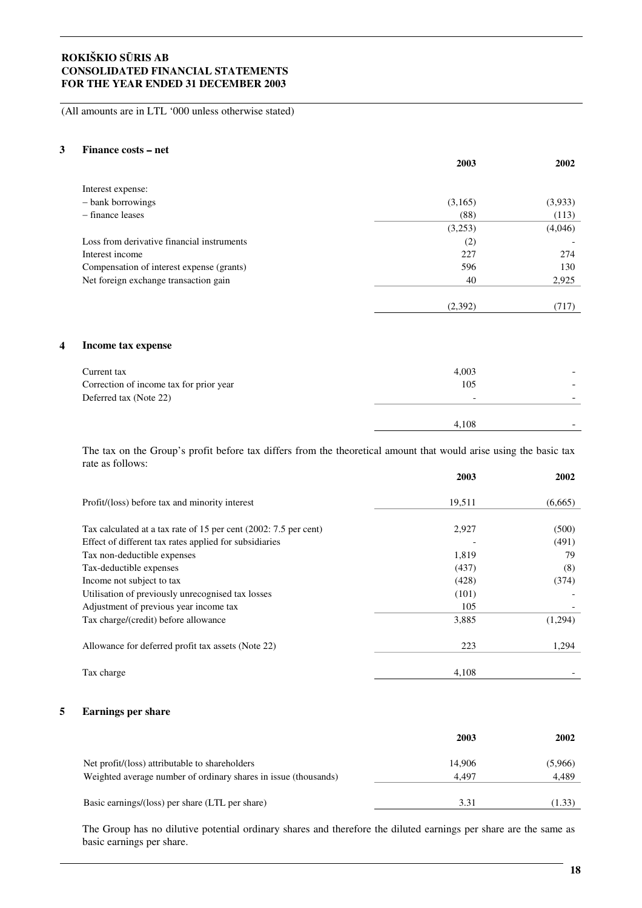(All amounts are in LTL '000 unless otherwise stated)

#### **3 Finance costs net**

|                                            | 2003    | 2002    |
|--------------------------------------------|---------|---------|
| Interest expense:                          |         |         |
| - bank borrowings                          | (3,165) | (3,933) |
| $-$ finance leases                         | (88)    | (113)   |
|                                            | (3,253) | (4,046) |
| Loss from derivative financial instruments | (2)     |         |
| Interest income                            | 227     | 274     |
| Compensation of interest expense (grants)  | 596     | 130     |
| Net foreign exchange transaction gain      | 40      | 2,925   |
|                                            |         |         |
|                                            | (2,392) | (717)   |

#### **4 Income tax expense**

| Current tax<br>Correction of income tax for prior year<br>Deferred tax (Note 22) | 4,003<br>105<br>$\overline{\phantom{0}}$ | -<br>$\overline{\phantom{0}}$ |
|----------------------------------------------------------------------------------|------------------------------------------|-------------------------------|
|                                                                                  | 4.108                                    | -                             |

The tax on the Group's profit before tax differs from the theoretical amount that would arise using the basic tax rate as follows:

|                                                                  | 2003   | 2002    |
|------------------------------------------------------------------|--------|---------|
| Profit/(loss) before tax and minority interest                   | 19,511 | (6,665) |
| Tax calculated at a tax rate of 15 per cent (2002: 7.5 per cent) | 2,927  | (500)   |
| Effect of different tax rates applied for subsidiaries           |        | (491)   |
| Tax non-deductible expenses                                      | 1,819  | 79      |
| Tax-deductible expenses                                          | (437)  | (8)     |
| Income not subject to tax                                        | (428)  | (374)   |
| Utilisation of previously unrecognised tax losses                | (101)  |         |
| Adjustment of previous year income tax                           | 105    |         |
| Tax charge/(credit) before allowance                             | 3,885  | (1,294) |
| Allowance for deferred profit tax assets (Note 22)               | 223    | 1,294   |
| Tax charge                                                       | 4,108  |         |

#### **5 Earnings per share**

|                                                                                                                   | 2003            | 2002             |
|-------------------------------------------------------------------------------------------------------------------|-----------------|------------------|
| Net profit/(loss) attributable to shareholders<br>Weighted average number of ordinary shares in issue (thousands) | 14.906<br>4.497 | (5,966)<br>4,489 |
| Basic earnings/(loss) per share (LTL per share)                                                                   | 3.31            | (1.33)           |

The Group has no dilutive potential ordinary shares and therefore the diluted earnings per share are the same as basic earnings per share.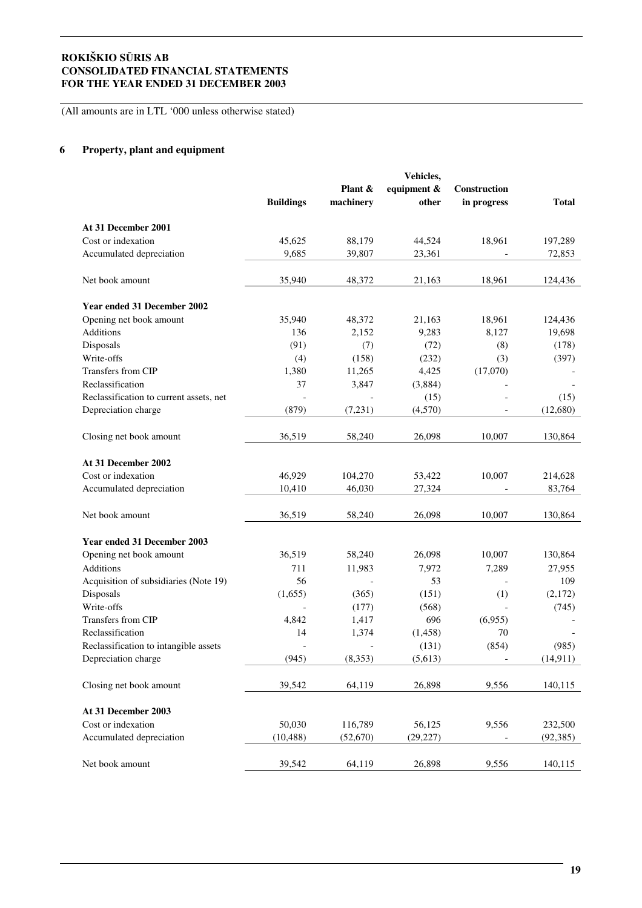(All amounts are in LTL '000 unless otherwise stated)

### **6 Property, plant and equipment**

|                                         |                  |           | Vehicles,   |                          |              |
|-----------------------------------------|------------------|-----------|-------------|--------------------------|--------------|
|                                         |                  | Plant &   | equipment & | <b>Construction</b>      |              |
|                                         | <b>Buildings</b> | machinery | other       | in progress              | <b>Total</b> |
| At 31 December 2001                     |                  |           |             |                          |              |
| Cost or indexation                      | 45,625           | 88,179    | 44,524      | 18,961                   | 197,289      |
| Accumulated depreciation                | 9,685            | 39,807    | 23,361      |                          | 72,853       |
| Net book amount                         | 35,940           | 48,372    | 21,163      | 18,961                   | 124,436      |
| <b>Year ended 31 December 2002</b>      |                  |           |             |                          |              |
| Opening net book amount                 | 35,940           | 48,372    | 21,163      | 18,961                   | 124,436      |
| Additions                               | 136              | 2,152     | 9,283       | 8,127                    | 19,698       |
| Disposals                               | (91)             | (7)       | (72)        | (8)                      | (178)        |
| Write-offs                              | (4)              | (158)     | (232)       | (3)                      | (397)        |
| Transfers from CIP                      | 1,380            | 11,265    | 4,425       | (17,070)                 |              |
| Reclassification                        | 37               | 3,847     | (3,884)     |                          |              |
| Reclassification to current assets, net |                  |           | (15)        |                          | (15)         |
| Depreciation charge                     | (879)            | (7,231)   | (4,570)     |                          | (12,680)     |
|                                         |                  |           |             |                          |              |
| Closing net book amount                 | 36,519           | 58,240    | 26,098      | 10,007                   | 130,864      |
| At 31 December 2002                     |                  |           |             |                          |              |
| Cost or indexation                      | 46,929           | 104,270   | 53,422      | 10,007                   | 214,628      |
| Accumulated depreciation                | 10,410           | 46,030    | 27,324      |                          | 83,764       |
|                                         |                  |           |             |                          |              |
| Net book amount                         | 36,519           | 58,240    | 26,098      | 10,007                   | 130,864      |
| Year ended 31 December 2003             |                  |           |             |                          |              |
| Opening net book amount                 | 36,519           | 58,240    | 26,098      | 10,007                   | 130,864      |
| <b>Additions</b>                        | 711              | 11,983    | 7,972       | 7,289                    | 27,955       |
| Acquisition of subsidiaries (Note 19)   | 56               |           | 53          |                          | 109          |
| Disposals                               | (1,655)          | (365)     | (151)       | (1)                      | (2,172)      |
| Write-offs                              |                  | (177)     | (568)       |                          | (745)        |
| Transfers from CIP                      | 4.842            | 1,417     | 696         | (6,955)                  |              |
| Reclassification                        | 14               | 1,374     | (1,458)     | 70                       |              |
| Reclassification to intangible assets   | $\overline{a}$   |           | (131)       | (854)                    | (985)        |
| Depreciation charge                     | (945)            | (8,353)   | (5,613)     | $\overline{\phantom{a}}$ | (14, 911)    |
|                                         |                  |           |             |                          |              |
| Closing net book amount                 | 39,542           | 64,119    | 26,898      | 9,556                    | 140,115      |
| At 31 December 2003                     |                  |           |             |                          |              |
| Cost or indexation                      | 50,030           | 116,789   | 56,125      | 9,556                    | 232,500      |
| Accumulated depreciation                | (10, 488)        | (52,670)  | (29, 227)   |                          | (92, 385)    |
|                                         |                  |           |             |                          |              |
| Net book amount                         | 39,542           | 64,119    | 26,898      | 9,556                    | 140,115      |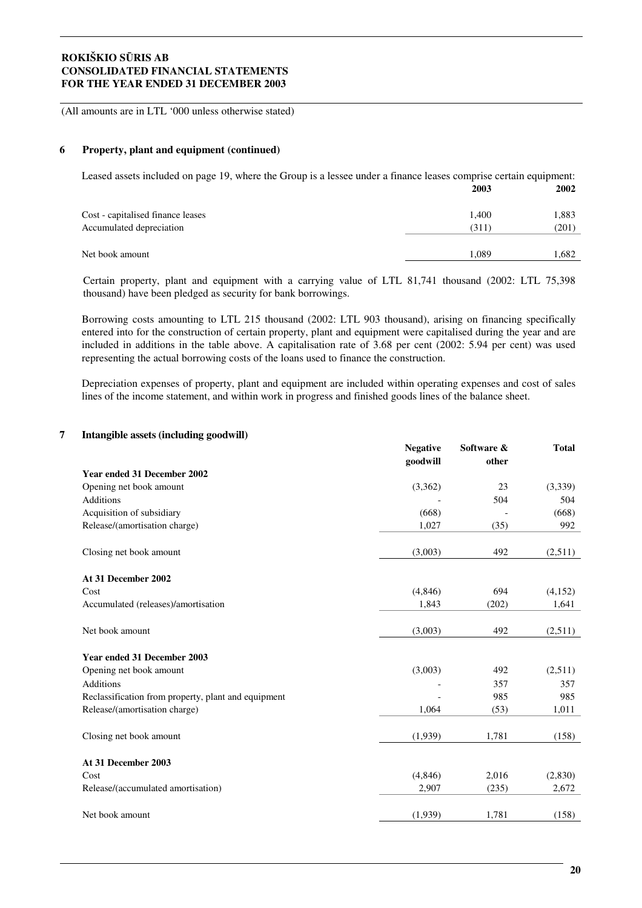(All amounts are in LTL '000 unless otherwise stated)

#### **6 Property, plant and equipment (continued)**

Leased assets included on page 19, where the Group is a lessee under a finance leases comprise certain equipment: **2003 2002**

|                                   | $\triangle$ vv $\cup$ | 4004  |
|-----------------------------------|-----------------------|-------|
| Cost - capitalised finance leases | 1.400                 | 1,883 |
| Accumulated depreciation          | (311)                 | (201) |
| Net book amount                   | 1.089                 | .682  |

Certain property, plant and equipment with a carrying value of LTL 81,741 thousand (2002: LTL 75,398 thousand) have been pledged as security for bank borrowings.

Borrowing costs amounting to LTL 215 thousand (2002: LTL 903 thousand), arising on financing specifically entered into for the construction of certain property, plant and equipment were capitalised during the year and are included in additions in the table above. A capitalisation rate of 3.68 per cent (2002: 5.94 per cent) was used representing the actual borrowing costs of the loans used to finance the construction.

Depreciation expenses of property, plant and equipment are included within operating expenses and cost of sales lines of the income statement, and within work in progress and finished goods lines of the balance sheet.

#### **7 Intangible assets (including goodwill)**

|                                                     | <b>Negative</b> | Software & | <b>Total</b> |
|-----------------------------------------------------|-----------------|------------|--------------|
|                                                     | goodwill        | other      |              |
| <b>Year ended 31 December 2002</b>                  |                 |            |              |
| Opening net book amount                             | (3,362)         | 23         | (3,339)      |
| <b>Additions</b>                                    |                 | 504        | 504          |
| Acquisition of subsidiary                           | (668)           |            | (668)        |
| Release/(amortisation charge)                       | 1,027           | (35)       | 992          |
| Closing net book amount                             | (3,003)         | 492        | (2,511)      |
| At 31 December 2002                                 |                 |            |              |
| Cost                                                | (4, 846)        | 694        | (4,152)      |
| Accumulated (releases)/amortisation                 | 1,843           | (202)      | 1,641        |
| Net book amount                                     | (3,003)         | 492        | (2,511)      |
| <b>Year ended 31 December 2003</b>                  |                 |            |              |
| Opening net book amount                             | (3,003)         | 492        | (2,511)      |
| Additions                                           |                 | 357        | 357          |
| Reclassification from property, plant and equipment |                 | 985        | 985          |
| Release/(amortisation charge)                       | 1,064           | (53)       | 1,011        |
| Closing net book amount                             | (1,939)         | 1,781      | (158)        |
| At 31 December 2003                                 |                 |            |              |
| Cost                                                | (4,846)         | 2,016      | (2,830)      |
| Release/(accumulated amortisation)                  | 2,907           | (235)      | 2,672        |
| Net book amount                                     | (1,939)         | 1,781      | (158)        |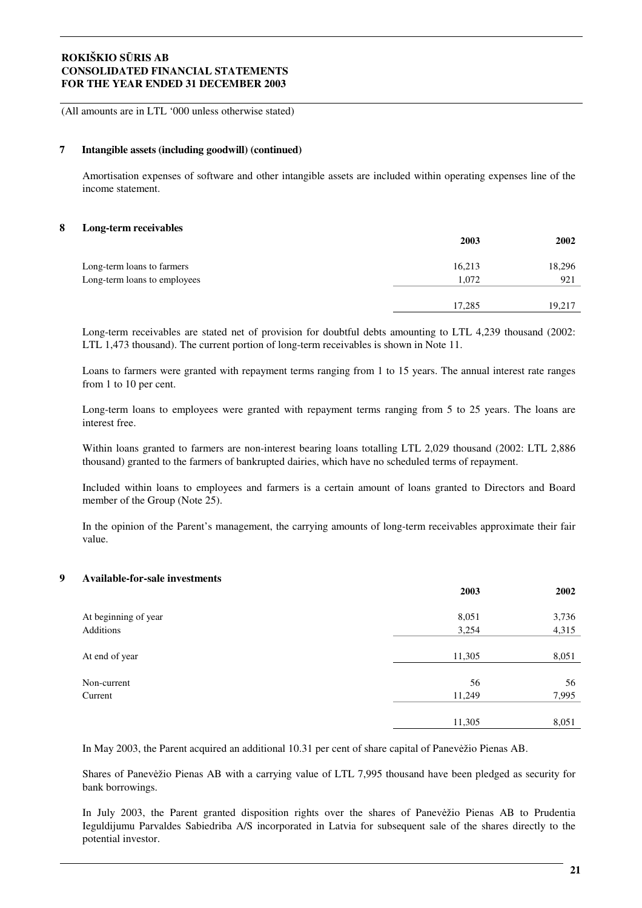(All amounts are in LTL '000 unless otherwise stated)

#### **7 Intangible assets (including goodwill) (continued)**

Amortisation expenses of software and other intangible assets are included within operating expenses line of the income statement.

#### **8 Long-term receivables**

|                              | 2003   | 2002   |
|------------------------------|--------|--------|
| Long-term loans to farmers   | 16,213 | 18,296 |
| Long-term loans to employees | 1,072  | 921    |
|                              | 17,285 | 19,217 |

Long-term receivables are stated net of provision for doubtful debts amounting to LTL 4,239 thousand (2002: LTL 1,473 thousand). The current portion of long-term receivables is shown in Note 11.

Loans to farmers were granted with repayment terms ranging from 1 to 15 years. The annual interest rate ranges from 1 to 10 per cent.

Long-term loans to employees were granted with repayment terms ranging from 5 to 25 years. The loans are interest free.

Within loans granted to farmers are non-interest bearing loans totalling LTL 2,029 thousand (2002: LTL 2,886 thousand) granted to the farmers of bankrupted dairies, which have no scheduled terms of repayment.

Included within loans to employees and farmers is a certain amount of loans granted to Directors and Board member of the Group (Note 25).

In the opinion of the Parent's management, the carrying amounts of long-term receivables approximate their fair value.

#### **9 Available-for-sale investments**

|                      | 2003   | 2002  |
|----------------------|--------|-------|
| At beginning of year | 8,051  | 3,736 |
| Additions            | 3,254  | 4,315 |
| At end of year       | 11,305 | 8,051 |
| Non-current          | 56     | 56    |
| Current              | 11,249 | 7,995 |
|                      |        |       |
|                      | 11,305 | 8,051 |

In May 2003, the Parent acquired an additional 10.31 per cent of share capital of Panevežio Pienas AB.

Shares of Panevežio Pienas AB with a carrying value of LTL 7,995 thousand have been pledged as security for bank borrowings.

In July 2003, the Parent granted disposition rights over the shares of Panevežio Pienas AB to Prudentia Ieguldijumu Parvaldes Sabiedriba A/S incorporated in Latvia for subsequent sale of the shares directly to the potential investor.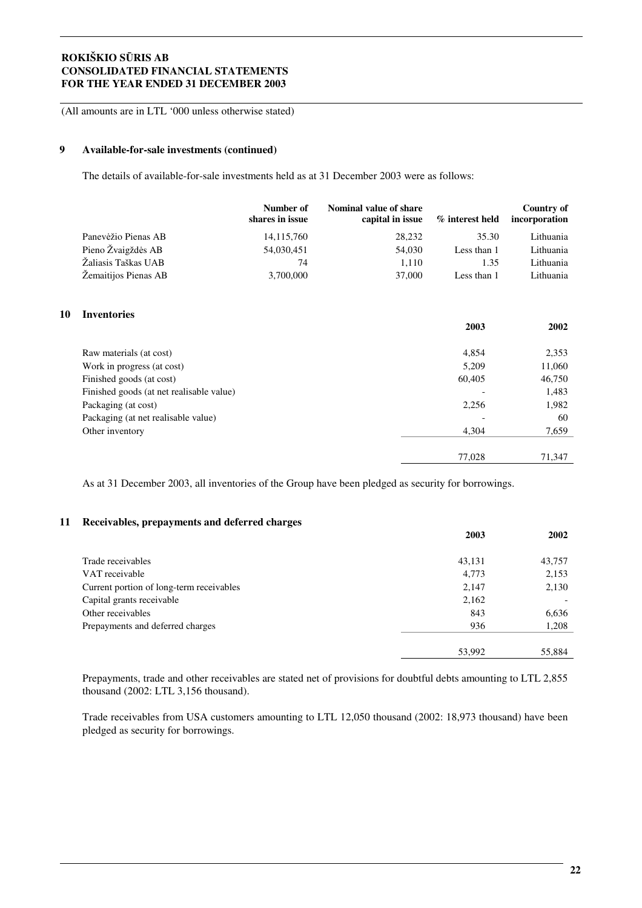(All amounts are in LTL '000 unless otherwise stated)

#### **9 Available-for-sale investments (continued)**

**10** 

The details of available-for-sale investments held as at 31 December 2003 were as follows:

|                                          | Number of<br>shares in issue | Nominal value of share<br>capital in issue |        | % interest held | Country of<br>incorporation |
|------------------------------------------|------------------------------|--------------------------------------------|--------|-----------------|-----------------------------|
| Panevėžio Pienas AB                      | 14, 115, 760                 |                                            | 28,232 | 35.30           | Lithuania                   |
| Pieno Žvaigždės AB                       | 54,030,451                   |                                            | 54,030 | Less than 1     | Lithuania                   |
| Žaliasis Taškas UAB                      | 74                           |                                            | 1,110  | 1.35            | Lithuania                   |
| Žemaitijos Pienas AB                     | 3,700,000                    |                                            | 37,000 | Less than 1     | Lithuania                   |
| <b>Inventories</b>                       |                              |                                            |        | 2003            | 2002                        |
| Raw materials (at cost)                  |                              |                                            |        | 4,854           | 2,353                       |
| Work in progress (at cost)               |                              |                                            |        | 5,209           | 11,060                      |
| Finished goods (at cost)                 |                              |                                            |        | 60,405          | 46,750                      |
| Finished goods (at net realisable value) |                              |                                            |        |                 | 1,483                       |
| Packaging (at cost)                      |                              |                                            |        | 2,256           | 1,982                       |
| Packaging (at net realisable value)      |                              |                                            |        |                 | 60                          |
| Other inventory                          |                              |                                            |        | 4,304           | 7,659                       |
|                                          |                              |                                            |        | 77,028          | 71,347                      |

As at 31 December 2003, all inventories of the Group have been pledged as security for borrowings.

#### **11 Receivables, prepayments and deferred charges**

|                                          | 2003   | 2002   |
|------------------------------------------|--------|--------|
|                                          |        |        |
| Trade receivables                        | 43,131 | 43,757 |
| VAT receivable                           | 4,773  | 2,153  |
| Current portion of long-term receivables | 2,147  | 2,130  |
| Capital grants receivable                | 2,162  |        |
| Other receivables                        | 843    | 6,636  |
| Prepayments and deferred charges         | 936    | 1,208  |
|                                          |        |        |
|                                          | 53,992 | 55,884 |

Prepayments, trade and other receivables are stated net of provisions for doubtful debts amounting to LTL 2,855 thousand (2002: LTL 3,156 thousand).

Trade receivables from USA customers amounting to LTL 12,050 thousand (2002: 18,973 thousand) have been pledged as security for borrowings.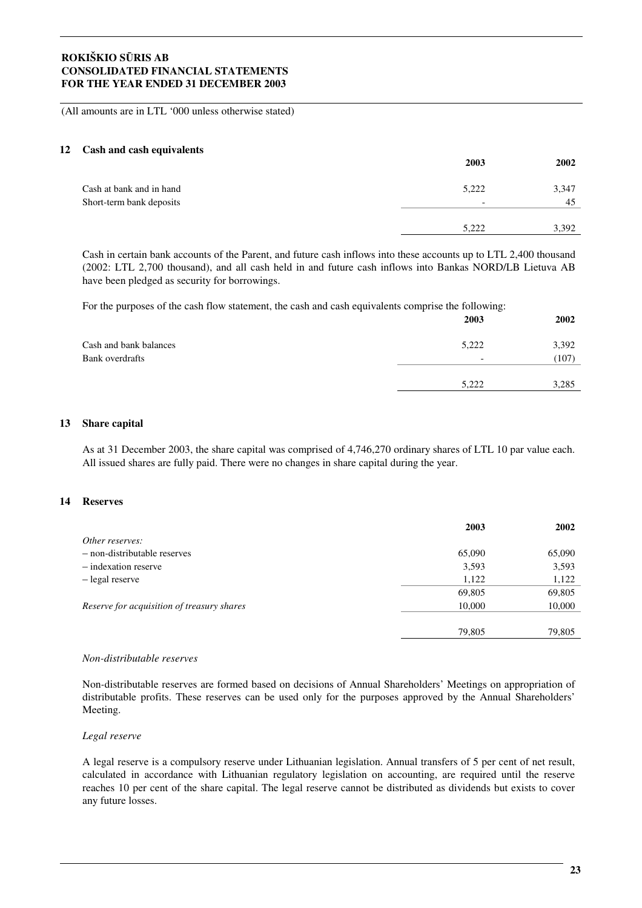(All amounts are in LTL '000 unless otherwise stated)

#### **12 Cash and cash equivalents**

|                          | 2003                     | 2002  |
|--------------------------|--------------------------|-------|
| Cash at bank and in hand | 5,222                    | 3,347 |
| Short-term bank deposits | $\overline{\phantom{0}}$ | 45    |
|                          |                          |       |
|                          | 5,222                    | 3,392 |

Cash in certain bank accounts of the Parent, and future cash inflows into these accounts up to LTL 2,400 thousand (2002: LTL 2,700 thousand), and all cash held in and future cash inflows into Bankas NORD/LB Lietuva AB have been pledged as security for borrowings.

For the purposes of the cash flow statement, the cash and cash equivalents comprise the following:

|                        | 2003                     | <b>2002</b> |
|------------------------|--------------------------|-------------|
| Cash and bank balances | 5,222                    | 3,392       |
| Bank overdrafts        | $\overline{\phantom{0}}$ | (107)       |
|                        |                          |             |
|                        | 5,222                    | 3,285       |
|                        |                          |             |

#### **13 Share capital**

As at 31 December 2003, the share capital was comprised of 4,746,270 ordinary shares of LTL 10 par value each. All issued shares are fully paid. There were no changes in share capital during the year.

#### **14 Reserves**

|                                            | 2003   | 2002   |
|--------------------------------------------|--------|--------|
| Other reserves:                            |        |        |
| - non-distributable reserves               | 65,090 | 65,090 |
| - indexation reserve                       | 3,593  | 3,593  |
| - legal reserve                            | 1,122  | 1,122  |
|                                            | 69,805 | 69,805 |
| Reserve for acquisition of treasury shares | 10,000 | 10,000 |
|                                            |        |        |
|                                            | 79,805 | 79,805 |
|                                            |        |        |

#### *Non-distributable reserves*

Non*-*distributable reserves are formed based on decisions of Annual Shareholders' Meetings on appropriation of distributable profits. These reserves can be used only for the purposes approved by the Annual Shareholders' Meeting.

#### *Legal reserve*

A legal reserve is a compulsory reserve under Lithuanian legislation. Annual transfers of 5 per cent of net result, calculated in accordance with Lithuanian regulatory legislation on accounting, are required until the reserve reaches 10 per cent of the share capital. The legal reserve cannot be distributed as dividends but exists to cover any future losses.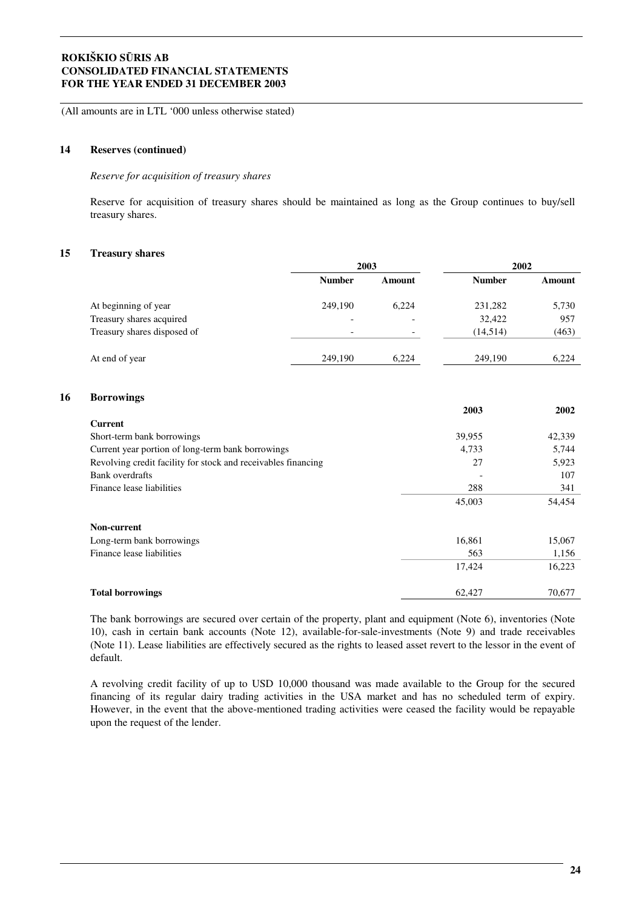(All amounts are in LTL '000 unless otherwise stated)

#### **14 Reserves (continued)**

*Reserve for acquisition of treasury shares*

Reserve for acquisition of treasury shares should be maintained as long as the Group continues to buy/sell treasury shares.

#### **15 Treasury shares**

**16 Borrowings**

|                                                               | 2003          |               | 2002          |        |
|---------------------------------------------------------------|---------------|---------------|---------------|--------|
|                                                               | <b>Number</b> | <b>Amount</b> | <b>Number</b> | Amount |
| At beginning of year                                          | 249,190       | 6,224         | 231,282       | 5,730  |
| Treasury shares acquired                                      |               |               | 32,422        | 957    |
| Treasury shares disposed of                                   |               |               | (14,514)      | (463)  |
| At end of year                                                | 249,190       | 6,224         | 249,190       | 6,224  |
| <b>Borrowings</b>                                             |               |               | 2003          | 2002   |
| <b>Current</b>                                                |               |               |               |        |
| Short-term bank borrowings                                    |               |               | 39,955        | 42,339 |
| Current year portion of long-term bank borrowings             |               |               | 4,733         | 5,744  |
| Revolving credit facility for stock and receivables financing |               |               | 27            | 5,923  |
| <b>Bank</b> overdrafts                                        |               |               |               | 107    |
| Finance lease liabilities                                     |               |               | 288           | 341    |
|                                                               |               |               | 45,003        | 54,454 |
| Non-current                                                   |               |               |               |        |
| Long-term bank borrowings                                     |               |               | 16,861        | 15,067 |
| Finance lease liabilities                                     |               |               | 563           | 1,156  |
|                                                               |               |               | 17,424        | 16,223 |
| <b>Total borrowings</b>                                       |               |               | 62,427        | 70,677 |

The bank borrowings are secured over certain of the property, plant and equipment (Note 6), inventories (Note 10), cash in certain bank accounts (Note 12), available-for-sale-investments (Note 9) and trade receivables (Note 11). Lease liabilities are effectively secured as the rights to leased asset revert to the lessor in the event of default.

A revolving credit facility of up to USD 10,000 thousand was made available to the Group for the secured financing of its regular dairy trading activities in the USA market and has no scheduled term of expiry. However, in the event that the above-mentioned trading activities were ceased the facility would be repayable upon the request of the lender.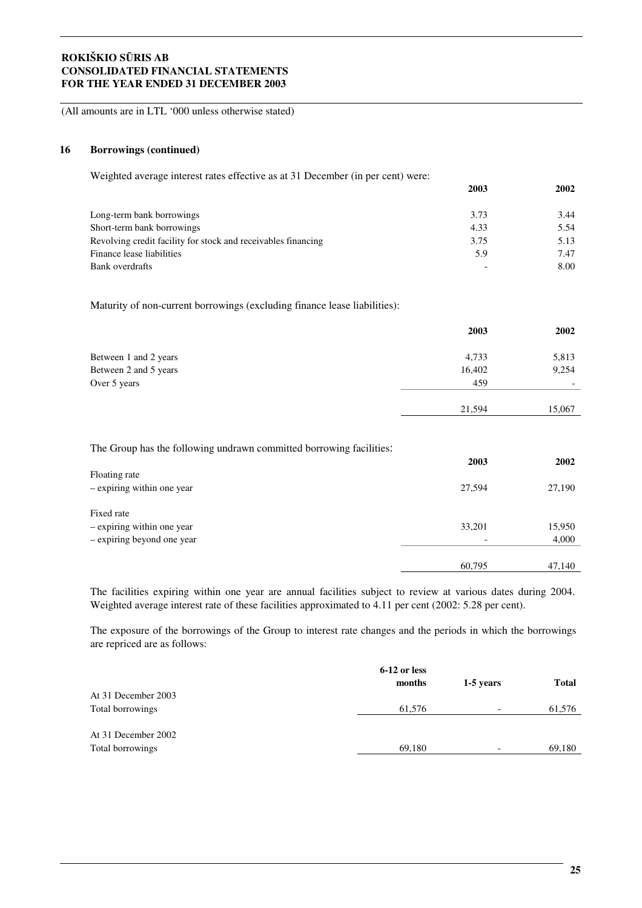(All amounts are in LTL '000 unless otherwise stated)

#### **16 Borrowings (continued)**

Weighted average interest rates effective as at 31 December (in per cent) were:

|                                                               | 2003 | 2002 |
|---------------------------------------------------------------|------|------|
| Long-term bank borrowings                                     | 3.73 | 3.44 |
| Short-term bank borrowings                                    | 4.33 | 5.54 |
| Revolving credit facility for stock and receivables financing | 3.75 | 5.13 |
| Finance lease liabilities                                     | 5.9  | 7.47 |
| Bank overdrafts                                               |      | 8.00 |

Maturity of non-current borrowings (excluding finance lease liabilities):

|                       | 2003   | 2002                     |
|-----------------------|--------|--------------------------|
| Between 1 and 2 years | 4,733  | 5,813                    |
| Between 2 and 5 years | 16,402 | 9,254                    |
| Over 5 years          | 459    | $\overline{\phantom{0}}$ |
|                       | 21,594 | 15,067                   |

The Group has the following undrawn committed borrowing facilities:

|                            | 2003                     | 2002   |
|----------------------------|--------------------------|--------|
| Floating rate              |                          |        |
| - expiring within one year | 27,594                   | 27,190 |
|                            |                          |        |
| Fixed rate                 |                          |        |
| - expiring within one year | 33,201                   | 15,950 |
| - expiring beyond one year | $\overline{\phantom{0}}$ | 4,000  |
|                            |                          |        |
|                            | 60,795                   | 47,140 |

The facilities expiring within one year are annual facilities subject to review at various dates during 2004. Weighted average interest rate of these facilities approximated to 4.11 per cent (2002: 5.28 per cent).

The exposure of the borrowings of the Group to interest rate changes and the periods in which the borrowings are repriced are as follows:

|                     | 6-12 or less |                          |              |
|---------------------|--------------|--------------------------|--------------|
|                     | months       | 1-5 years                | <b>Total</b> |
| At 31 December 2003 |              |                          |              |
| Total borrowings    | 61.576       | $\overline{\phantom{a}}$ | 61,576       |
|                     |              |                          |              |
| At 31 December 2002 |              |                          |              |
| Total borrowings    | 69,180       | $\overline{\phantom{a}}$ | 69,180       |
|                     |              |                          |              |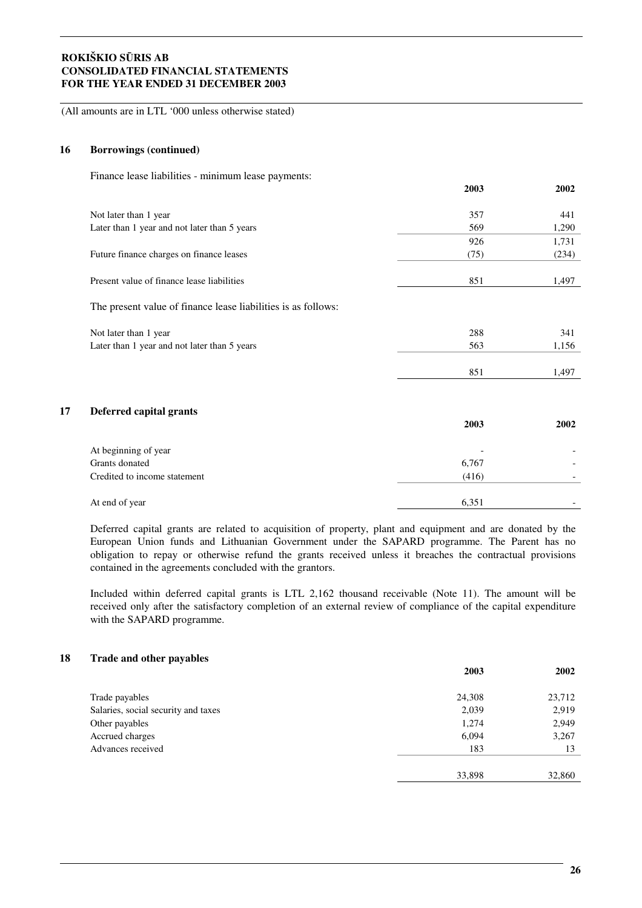(All amounts are in LTL '000 unless otherwise stated)

#### **16 Borrowings (continued)**

Finance lease liabilities - minimum lease payments:

|    |                                                               | 2003  | 2002  |
|----|---------------------------------------------------------------|-------|-------|
|    | Not later than 1 year                                         | 357   | 441   |
|    | Later than 1 year and not later than 5 years                  | 569   | 1,290 |
|    |                                                               | 926   | 1,731 |
|    | Future finance charges on finance leases                      | (75)  | (234) |
|    | Present value of finance lease liabilities                    | 851   | 1,497 |
|    | The present value of finance lease liabilities is as follows: |       |       |
|    | Not later than 1 year                                         | 288   | 341   |
|    | Later than 1 year and not later than 5 years                  | 563   | 1,156 |
|    |                                                               | 851   | 1,497 |
| 17 | Deferred capital grants                                       |       |       |
|    |                                                               | 2003  | 2002  |
|    | At beginning of year                                          |       |       |
|    | Grants donated                                                | 6,767 |       |
|    | Credited to income statement                                  | (416) |       |
|    | At end of year                                                | 6,351 |       |

Deferred capital grants are related to acquisition of property, plant and equipment and are donated by the European Union funds and Lithuanian Government under the SAPARD programme. The Parent has no obligation to repay or otherwise refund the grants received unless it breaches the contractual provisions contained in the agreements concluded with the grantors.

Included within deferred capital grants is LTL 2,162 thousand receivable (Note 11). The amount will be received only after the satisfactory completion of an external review of compliance of the capital expenditure with the SAPARD programme.

#### **18 Trade and other payables**

|                                     | 2003   | 2002   |
|-------------------------------------|--------|--------|
| Trade payables                      | 24,308 | 23,712 |
| Salaries, social security and taxes | 2,039  | 2,919  |
| Other payables                      | 1,274  | 2,949  |
| Accrued charges                     | 6,094  | 3,267  |
| Advances received                   | 183    | 13     |
|                                     |        |        |
|                                     | 33,898 | 32,860 |
|                                     |        |        |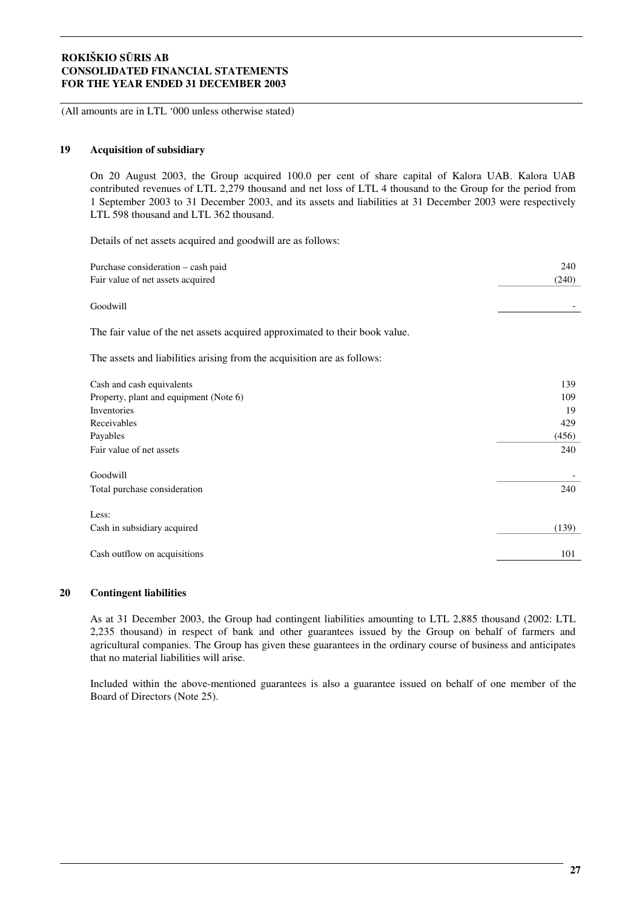(All amounts are in LTL '000 unless otherwise stated)

#### **19 Acquisition of subsidiary**

On 20 August 2003, the Group acquired 100.0 per cent of share capital of Kalora UAB. Kalora UAB contributed revenues of LTL 2,279 thousand and net loss of LTL 4 thousand to the Group for the period from 1 September 2003 to 31 December 2003, and its assets and liabilities at 31 December 2003 were respectively LTL 598 thousand and LTL 362 thousand.

Details of net assets acquired and goodwill are as follows:

| Purchase consideration - cash paid                                          | 240   |
|-----------------------------------------------------------------------------|-------|
| Fair value of net assets acquired                                           | (240) |
| Goodwill                                                                    |       |
| The fair value of the net assets acquired approximated to their book value. |       |
| The assets and liabilities arising from the acquisition are as follows:     |       |
| Cash and cash equivalents                                                   | 139   |
| Property, plant and equipment (Note 6)                                      | 109   |
| Inventories                                                                 | 19    |
| Receivables                                                                 | 429   |
| Payables                                                                    | (456) |
| Fair value of net assets                                                    | 240   |
| Goodwill                                                                    |       |
| Total purchase consideration                                                | 240   |
| Less:                                                                       |       |
| Cash in subsidiary acquired                                                 | (139) |
| Cash outflow on acquisitions                                                | 101   |

#### **20 Contingent liabilities**

As at 31 December 2003, the Group had contingent liabilities amounting to LTL 2,885 thousand (2002: LTL 2,235 thousand) in respect of bank and other guarantees issued by the Group on behalf of farmers and agricultural companies. The Group has given these guarantees in the ordinary course of business and anticipates that no material liabilities will arise.

Included within the above-mentioned guarantees is also a guarantee issued on behalf of one member of the Board of Directors (Note 25).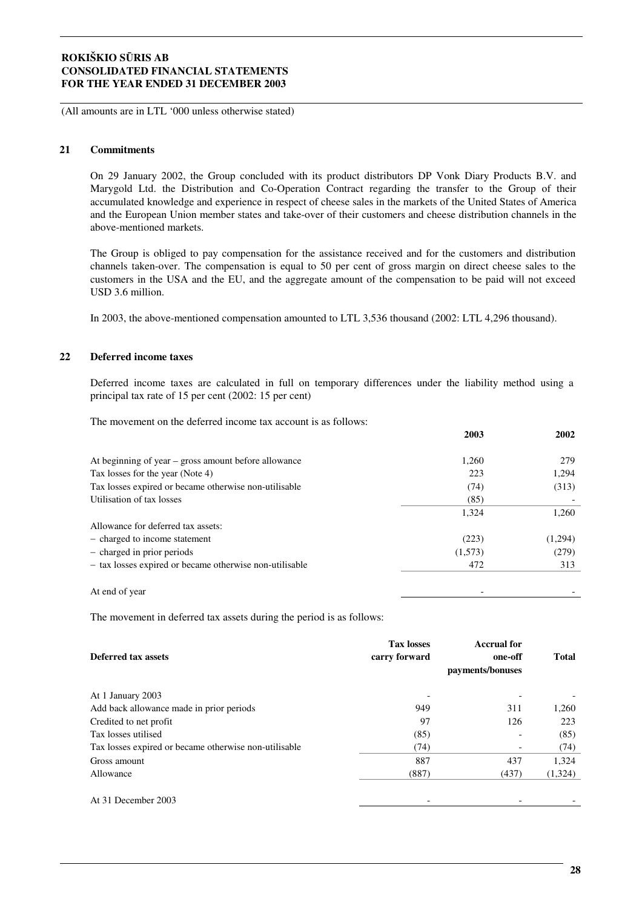(All amounts are in LTL '000 unless otherwise stated)

#### **21 Commitments**

On 29 January 2002, the Group concluded with its product distributors DP Vonk Diary Products B.V. and Marygold Ltd. the Distribution and Co-Operation Contract regarding the transfer to the Group of their accumulated knowledge and experience in respect of cheese sales in the markets of the United States of America and the European Union member states and take-over of their customers and cheese distribution channels in the above-mentioned markets.

The Group is obliged to pay compensation for the assistance received and for the customers and distribution channels taken-over. The compensation is equal to 50 per cent of gross margin on direct cheese sales to the customers in the USA and the EU, and the aggregate amount of the compensation to be paid will not exceed USD 3.6 million.

In 2003, the above-mentioned compensation amounted to LTL 3,536 thousand (2002: LTL 4,296 thousand).

#### **22 Deferred income taxes**

Deferred income taxes are calculated in full on temporary differences under the liability method using a principal tax rate of 15 per cent (2002: 15 per cent)

The movement on the deferred income tax account is as follows:

|                                                         | 2003    | 2002    |
|---------------------------------------------------------|---------|---------|
| At beginning of year – gross amount before allowance    | 1,260   | 279     |
| Tax losses for the year (Note 4)                        | 223     | 1,294   |
| Tax losses expired or became otherwise non-utilisable   | (74)    | (313)   |
| Utilisation of tax losses                               | (85)    |         |
|                                                         | 1,324   | 1,260   |
| Allowance for deferred tax assets:                      |         |         |
| - charged to income statement                           | (223)   | (1,294) |
| - charged in prior periods                              | (1,573) | (279)   |
| - tax losses expired or became otherwise non-utilisable | 472     | 313     |
|                                                         |         |         |
| At end of year                                          |         |         |

The movement in deferred tax assets during the period is as follows:

| Deferred tax assets                                   | <b>Tax losses</b><br>carry forward | <b>Accrual for</b><br>one-off<br>payments/bonuses | <b>Total</b> |
|-------------------------------------------------------|------------------------------------|---------------------------------------------------|--------------|
| At 1 January 2003                                     |                                    |                                                   |              |
| Add back allowance made in prior periods              | 949                                | 311                                               | 1,260        |
| Credited to net profit                                | 97                                 | 126                                               | 223          |
| Tax losses utilised                                   | (85)                               |                                                   | (85)         |
| Tax losses expired or became otherwise non-utilisable | (74)                               |                                                   | (74)         |
| Gross amount                                          | 887                                | 437                                               | 1,324        |
| Allowance                                             | (887)                              | (437)                                             | (1,324)      |
| At 31 December 2003                                   |                                    |                                                   |              |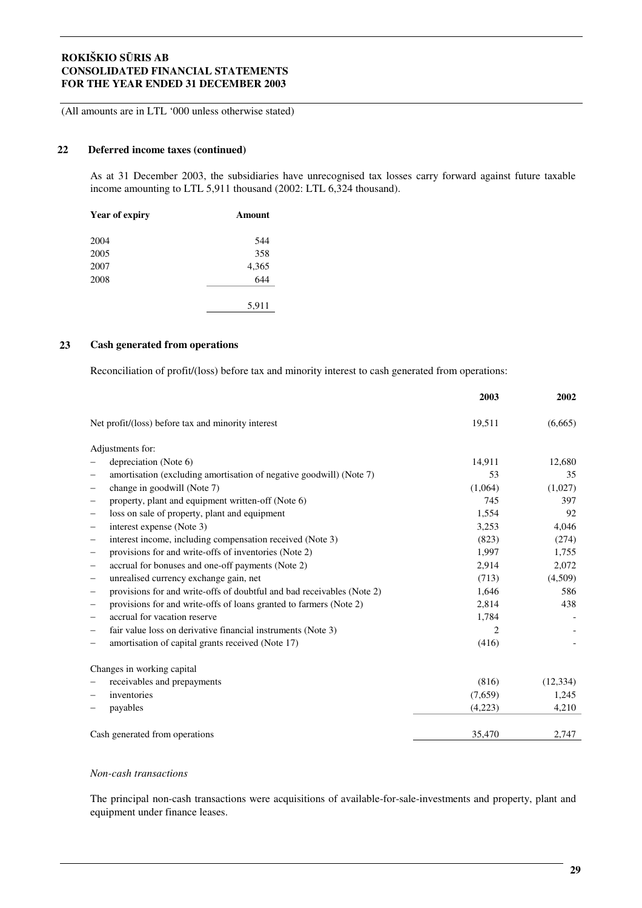(All amounts are in LTL '000 unless otherwise stated)

#### **22 Deferred income taxes (continued)**

As at 31 December 2003, the subsidiaries have unrecognised tax losses carry forward against future taxable income amounting to LTL 5,911 thousand (2002: LTL 6,324 thousand).

| <b>Year of expiry</b> | Amount |
|-----------------------|--------|
| 2004                  | 544    |
| 2005                  | 358    |
| 2007                  | 4,365  |
| 2008                  | 644    |
|                       | 5,911  |

#### **23 Cash generated from operations**

Reconciliation of profit/(loss) before tax and minority interest to cash generated from operations:

|                                                                        | 2003           | 2002      |
|------------------------------------------------------------------------|----------------|-----------|
| Net profit/(loss) before tax and minority interest                     | 19,511         | (6,665)   |
| Adjustments for:                                                       |                |           |
| depreciation (Note 6)                                                  | 14,911         | 12,680    |
| amortisation (excluding amortisation of negative goodwill) (Note 7)    | 53             | 35        |
| change in goodwill (Note 7)<br>—                                       | (1,064)        | (1,027)   |
| property, plant and equipment written-off (Note 6)                     | 745            | 397       |
| loss on sale of property, plant and equipment                          | 1,554          | 92        |
| interest expense (Note 3)                                              | 3,253          | 4,046     |
| interest income, including compensation received (Note 3)<br>-         | (823)          | (274)     |
| provisions for and write-offs of inventories (Note 2)<br>-             | 1,997          | 1,755     |
| accrual for bonuses and one-off payments (Note 2)<br>-                 | 2,914          | 2,072     |
| unrealised currency exchange gain, net<br>—                            | (713)          | (4,509)   |
| provisions for and write-offs of doubtful and bad receivables (Note 2) | 1,646          | 586       |
| provisions for and write-offs of loans granted to farmers (Note 2)     | 2,814          | 438       |
| accrual for vacation reserve                                           | 1,784          |           |
| fair value loss on derivative financial instruments (Note 3)           | $\mathfrak{D}$ |           |
| amortisation of capital grants received (Note 17)                      | (416)          |           |
| Changes in working capital                                             |                |           |
| receivables and prepayments                                            | (816)          | (12, 334) |
| inventories                                                            | (7,659)        | 1,245     |
| payables                                                               | (4,223)        | 4,210     |
| Cash generated from operations                                         | 35,470         | 2,747     |

#### *Non-cash transactions*

The principal non-cash transactions were acquisitions of available-for-sale-investments and property, plant and equipment under finance leases.